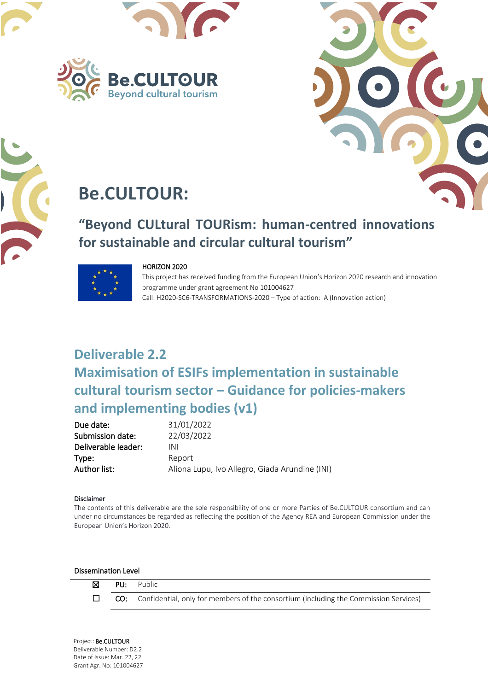





# **Be.CULTOUR:**

# **"Beyond CULtural TOURism: human-centred innovations for sustainable and circular cultural tourism"**



#### HORIZON 2020

This project has received funding from the European Union's Horizon 2020 research and innovation programme under grant agreement No 101004627 Call: H2020-SC6-TRANSFORMATIONS-2020 – Type of action: IA (Innovation action)

# **Deliverable 2.2 Maximisation of ESIFs implementation in sustainable cultural tourism sector – Guidance for policies-makers and implementing bodies (v1)**

| 31/01/2022                                     |
|------------------------------------------------|
| 22/03/2022                                     |
| INI                                            |
| Report                                         |
| Aliona Lupu, Ivo Allegro, Giada Arundine (INI) |
|                                                |

#### Disclaimer

The contents of this deliverable are the sole responsibility of one or more Parties of Be.CULTOUR consortium and can European Union's Horizon 2020. under no circumstances be regarded as reflecting the position of the Agency REA and European Commission under the

#### Dissemination Level



 ☒ PU: Public  $\Box$  **CO:** Confidential, only for members of the consortium (including the Commission Services)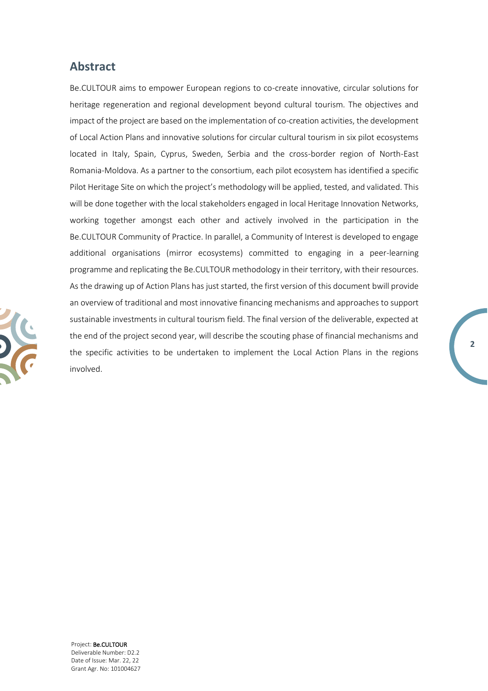### **Abstract**

Be.CULTOUR aims to empower European regions to co-create innovative, circular solutions for heritage regeneration and regional development beyond cultural tourism. The objectives and impact of the project are based on the implementation of co-creation activities, the development of Local Action Plans and innovative solutions for circular cultural tourism in six pilot ecosystems located in Italy, Spain, Cyprus, Sweden, Serbia and the cross-border region of North-East Romania-Moldova. As a partner to the consortium, each pilot ecosystem has identified a specific Pilot Heritage Site on which the project's methodology will be applied, tested, and validated. This will be done together with the local stakeholders engaged in local Heritage Innovation Networks, working together amongst each other and actively involved in the participation in the Be.CULTOUR Community of Practice. In parallel, a Community of Interest is developed to engage additional organisations (mirror ecosystems) committed to engaging in a peer-learning programme and replicating the Be.CULTOUR methodology in their territory, with their resources. As the drawing up of Action Plans has just started, the first version of this document bwill provide an overview of traditional and most innovative financing mechanisms and approaches to support sustainable investments in cultural tourism field. The final version of the deliverable, expected at the end of the project second year, will describe the scouting phase of financial mechanisms and the specific activities to be undertaken to implement the Local Action Plans in the regions involved.

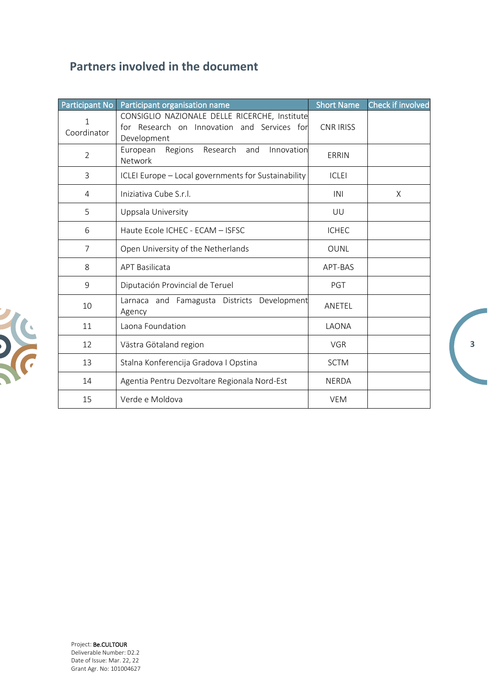## **Partners involved in the document**

| Participant No   | Participant organisation name                                                                               | <b>Short Name</b> | Check if involved |
|------------------|-------------------------------------------------------------------------------------------------------------|-------------------|-------------------|
| 1<br>Coordinator | CONSIGLIO NAZIONALE DELLE RICERCHE, Institute<br>for Research on Innovation and Services for<br>Development | <b>CNR IRISS</b>  |                   |
| $\overline{2}$   | Research<br>Innovation<br>European<br>Regions<br>and<br>Network                                             | ERRIN             |                   |
| 3                | ICLEI Europe - Local governments for Sustainability                                                         | <b>ICLEI</b>      |                   |
| 4                | Iniziativa Cube S.r.l.                                                                                      | INI               | X                 |
| 5                | Uppsala University                                                                                          | UU                |                   |
| 6                | Haute Ecole ICHEC - ECAM - ISFSC                                                                            | <b>ICHEC</b>      |                   |
| $\overline{7}$   | Open University of the Netherlands                                                                          | <b>OUNL</b>       |                   |
| 8                | <b>APT Basilicata</b>                                                                                       | APT-BAS           |                   |
| 9                | Diputación Provincial de Teruel                                                                             | PGT               |                   |
| 10               | Larnaca and Famagusta Districts Development<br>Agency                                                       | ANETEL            |                   |
| 11               | Laona Foundation                                                                                            | LAONA             |                   |
| 12               | Västra Götaland region                                                                                      | <b>VGR</b>        |                   |
| 13               | Stalna Konferencija Gradova I Opstina                                                                       | <b>SCTM</b>       |                   |
| 14               | Agentia Pentru Dezvoltare Regionala Nord-Est                                                                | <b>NERDA</b>      |                   |
| 15               | Verde e Moldova                                                                                             | <b>VEM</b>        |                   |

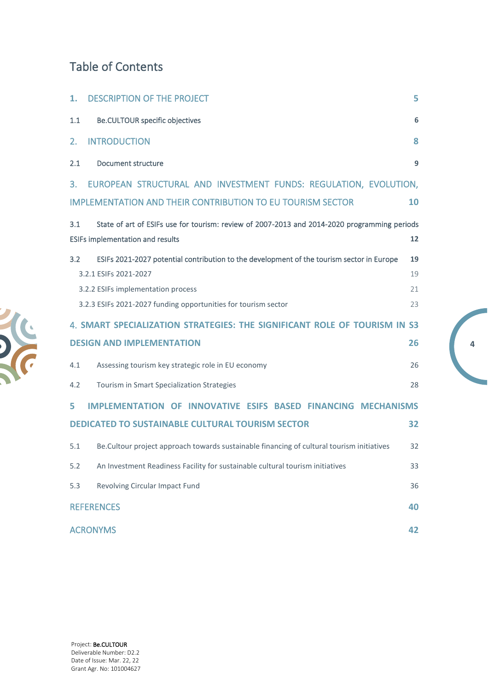## Table of Contents

| 1.      | <b>DESCRIPTION OF THE PROJECT</b>                                                                                                       | 5        |
|---------|-----------------------------------------------------------------------------------------------------------------------------------------|----------|
| $1.1\,$ | <b>Be.CULTOUR specific objectives</b>                                                                                                   | 6        |
| 2.      | <b>INTRODUCTION</b>                                                                                                                     | 8        |
| 2.1     | Document structure                                                                                                                      | 9        |
| 3.      | EUROPEAN STRUCTURAL AND INVESTMENT FUNDS: REGULATION, EVOLUTION,                                                                        |          |
|         | <b>IMPLEMENTATION AND THEIR CONTRIBUTION TO EU TOURISM SECTOR</b>                                                                       | 10       |
| 3.1     | State of art of ESIFs use for tourism: review of 2007-2013 and 2014-2020 programming periods<br><b>ESIFs implementation and results</b> | 12       |
| 3.2     | ESIFs 2021-2027 potential contribution to the development of the tourism sector in Europe<br>3.2.1 ESIFs 2021-2027                      | 19<br>19 |
|         | 3.2.2 ESIFs implementation process                                                                                                      | 21       |
|         | 3.2.3 ESIFs 2021-2027 funding opportunities for tourism sector                                                                          | 23       |
|         | 4. SMART SPECIALIZATION STRATEGIES: THE SIGNIFICANT ROLE OF TOURISM IN S3                                                               |          |
|         | <b>DESIGN AND IMPLEMENTATION</b>                                                                                                        | 26       |
| 4.1     | Assessing tourism key strategic role in EU economy                                                                                      | 26       |
| 4.2     | Tourism in Smart Specialization Strategies                                                                                              | 28       |
| 5       | <b>IMPLEMENTATION OF INNOVATIVE ESIFS BASED FINANCING MECHANISMS</b>                                                                    |          |
|         | <b>DEDICATED TO SUSTAINABLE CULTURAL TOURISM SECTOR</b>                                                                                 | 32       |
| 5.1     | Be. Cultour project approach towards sustainable financing of cultural tourism initiatives                                              | 32       |
| 5.2     | An Investment Readiness Facility for sustainable cultural tourism initiatives                                                           | 33       |
| 5.3     | Revolving Circular Impact Fund                                                                                                          | 36       |
|         | <b>REFERENCES</b>                                                                                                                       | 40       |
|         | <b>ACRONYMS</b>                                                                                                                         | 42       |

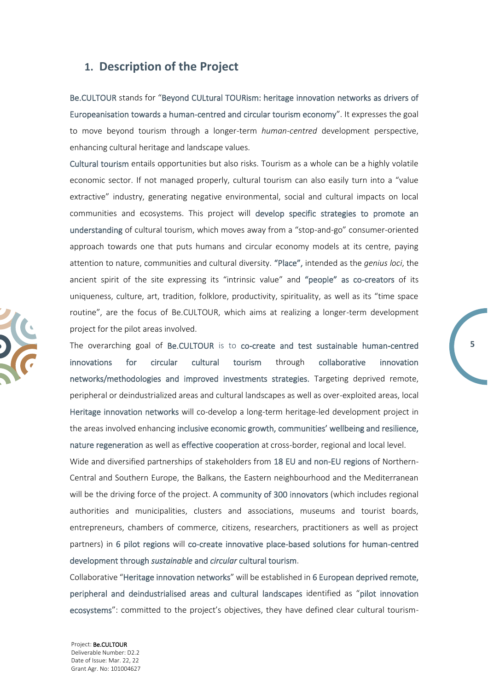### <span id="page-4-0"></span>**1. Description of the Project**

Be.CULTOUR stands for "Beyond CULtural TOURism: heritage innovation networks as drivers of Europeanisation towards a human-centred and circular tourism economy". It expresses the goal to move beyond tourism through a longer-term *human-centred* development perspective, enhancing cultural heritage and landscape values.

Cultural tourism entails opportunities but also risks. Tourism as a whole can be a highly volatile economic sector. If not managed properly, cultural tourism can also easily turn into a "value extractive" industry, generating negative environmental, social and cultural impacts on local communities and ecosystems. This project will develop specific strategies to promote an understanding of cultural tourism, which moves away from a "stop-and-go" consumer-oriented approach towards one that puts humans and circular economy models at its centre, paying attention to nature, communities and cultural diversity. "Place", intended as the *genius loci*, the ancient spirit of the site expressing its "intrinsic value" and "people" as co-creators of its uniqueness, culture, art, tradition, folklore, productivity, spirituality, as well as its "time space routine", are the focus of Be.CULTOUR, which aims at realizing a longer-term development project for the pilot areas involved.

The overarching goal of Be.CULTOUR is to co-create and test sustainable human-centred innovations for circular cultural tourism through collaborative innovation networks/methodologies and improved investments strategies. Targeting deprived remote, peripheral or deindustrialized areas and cultural landscapes as well as over-exploited areas, local Heritage innovation networks will co-develop a long-term heritage-led development project in the areas involved enhancing inclusive economic growth, communities' wellbeing and resilience, nature regeneration as well as effective cooperation at cross-border, regional and local level.

**5**

Wide and diversified partnerships of stakeholders from 18 EU and non-EU regions of Northern-Central and Southern Europe, the Balkans, the Eastern neighbourhood and the Mediterranean will be the driving force of the project. A community of 300 innovators (which includes regional authorities and municipalities, clusters and associations, museums and tourist boards, entrepreneurs, chambers of commerce, citizens, researchers, practitioners as well as project partners) in 6 pilot regions will co-create innovative place-based solutions for human-centred development through *sustainable* and *circular* cultural tourism.

Collaborative "Heritage innovation networks" will be established in 6 European deprived remote, peripheral and deindustrialised areas and cultural landscapes identified as "pilot innovation ecosystems": committed to the project's objectives, they have defined clear cultural tourism-

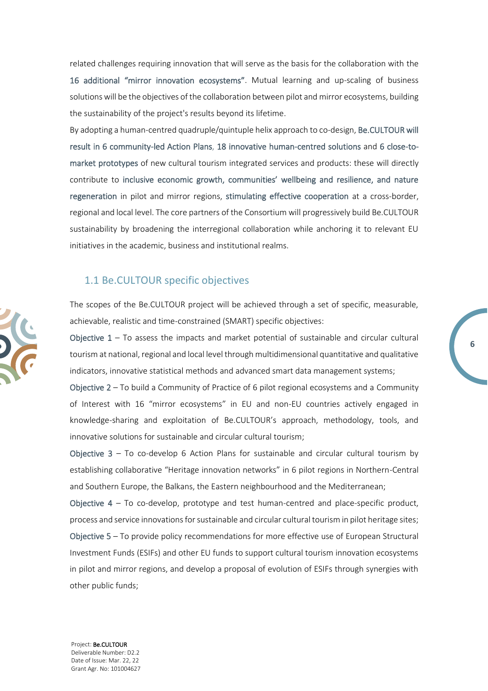related challenges requiring innovation that will serve as the basis for the collaboration with the 16 additional "mirror innovation ecosystems". Mutual learning and up-scaling of business solutions will be the objectives of the collaboration between pilot and mirror ecosystems, building the sustainability of the project's results beyond its lifetime.

By adopting a human-centred quadruple/quintuple helix approach to co-design, Be.CULTOUR will result in 6 community-led Action Plans, 18 innovative human-centred solutions and 6 close-tomarket prototypes of new cultural tourism integrated services and products: these will directly contribute to inclusive economic growth, communities' wellbeing and resilience, and nature regeneration in pilot and mirror regions, stimulating effective cooperation at a cross-border, regional and local level. The core partners of the Consortium will progressively build Be.CULTOUR sustainability by broadening the interregional collaboration while anchoring it to relevant EU initiatives in the academic, business and institutional realms.

#### <span id="page-5-0"></span>1.1 Be.CULTOUR specific objectives

The scopes of the Be.CULTOUR project will be achieved through a set of specific, measurable, achievable, realistic and time-constrained (SMART) specific objectives:

Objective  $1 - To$  assess the impacts and market potential of sustainable and circular cultural tourism at national, regional and local level through multidimensional quantitative and qualitative indicators, innovative statistical methods and advanced smart data management systems;

**6**

Objective 2 – To build a Community of Practice of 6 pilot regional ecosystems and a Community of Interest with 16 "mirror ecosystems" in EU and non-EU countries actively engaged in knowledge-sharing and exploitation of Be.CULTOUR's approach, methodology, tools, and innovative solutions for sustainable and circular cultural tourism;

Objective 3 – To co-develop 6 Action Plans for sustainable and circular cultural tourism by establishing collaborative "Heritage innovation networks" in 6 pilot regions in Northern-Central and Southern Europe, the Balkans, the Eastern neighbourhood and the Mediterranean;

Objective  $4 - To$  co-develop, prototype and test human-centred and place-specific product, process and service innovations for sustainable and circular cultural tourism in pilot heritage sites; Objective 5 – To provide policy recommendations for more effective use of European Structural Investment Funds (ESIFs) and other EU funds to support cultural tourism innovation ecosystems in pilot and mirror regions, and develop a proposal of evolution of ESIFs through synergies with other public funds;

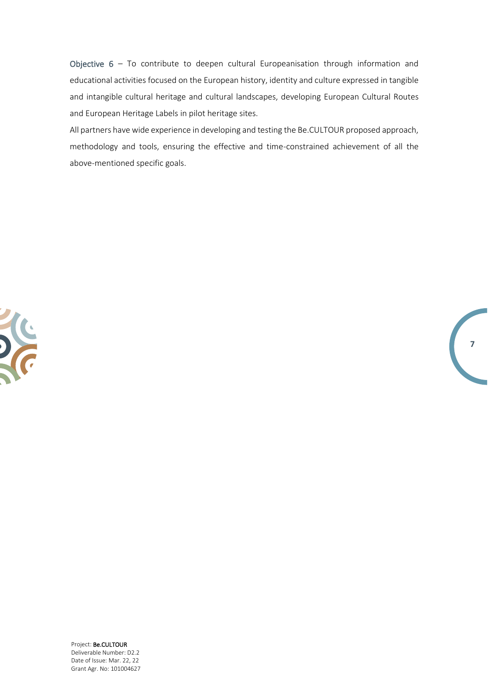Objective 6 – To contribute to deepen cultural Europeanisation through information and educational activities focused on the European history, identity and culture expressed in tangible and intangible cultural heritage and cultural landscapes, developing European Cultural Routes and European Heritage Labels in pilot heritage sites.

All partners have wide experience in developing and testing the Be.CULTOUR proposed approach, methodology and tools, ensuring the effective and time-constrained achievement of all the above-mentioned specific goals.

**7**

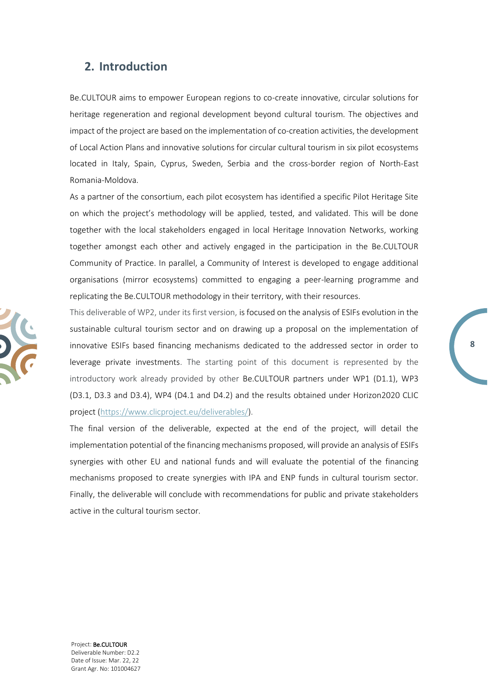### <span id="page-7-0"></span>**2. Introduction**

Be.CULTOUR aims to empower European regions to co-create innovative, circular solutions for heritage regeneration and regional development beyond cultural tourism. The objectives and impact of the project are based on the implementation of co-creation activities, the development of Local Action Plans and innovative solutions for circular cultural tourism in six pilot ecosystems located in Italy, Spain, Cyprus, Sweden, Serbia and the cross-border region of North-East Romania-Moldova.

As a partner of the consortium, each pilot ecosystem has identified a specific Pilot Heritage Site on which the project's methodology will be applied, tested, and validated. This will be done together with the local stakeholders engaged in local Heritage Innovation Networks, working together amongst each other and actively engaged in the participation in the Be.CULTOUR Community of Practice. In parallel, a Community of Interest is developed to engage additional organisations (mirror ecosystems) committed to engaging a peer-learning programme and replicating the Be.CULTOUR methodology in their territory, with their resources.

This deliverable of WP2, under its first version, is focused on the analysis of ESIFs evolution in the sustainable cultural tourism sector and on drawing up a proposal on the implementation of innovative ESIFs based financing mechanisms dedicated to the addressed sector in order to leverage private investments. The starting point of this document is represented by the introductory work already provided by other Be.CULTOUR partners under WP1 (D1.1), WP3 (D3.1, D3.3 and D3.4), WP4 (D4.1 and D4.2) and the results obtained under Horizon2020 CLIC project [\(https://www.clicproject.eu/deliverables/\)](https://www.clicproject.eu/deliverables/).

**8**

The final version of the deliverable, expected at the end of the project, will detail the implementation potential of the financing mechanisms proposed, will provide an analysis of ESIFs synergies with other EU and national funds and will evaluate the potential of the financing mechanisms proposed to create synergies with IPA and ENP funds in cultural tourism sector. Finally, the deliverable will conclude with recommendations for public and private stakeholders active in the cultural tourism sector.

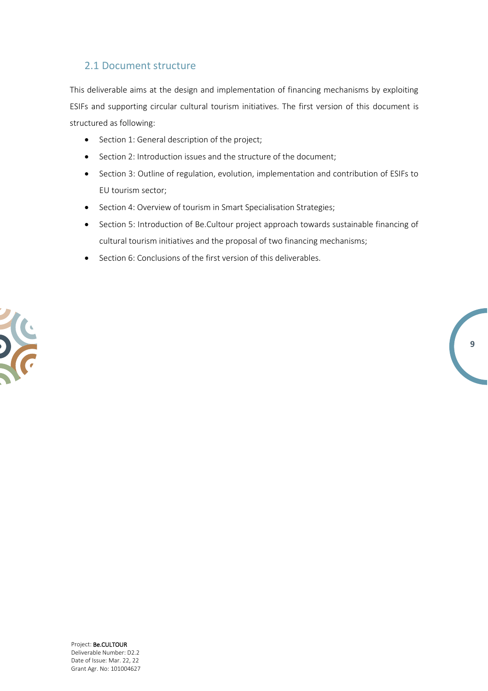### <span id="page-8-0"></span>2.1 Document structure

This deliverable aims at the design and implementation of financing mechanisms by exploiting ESIFs and supporting circular cultural tourism initiatives. The first version of this document is structured as following:

- Section 1: General description of the project;
- Section 2: Introduction issues and the structure of the document;
- Section 3: Outline of regulation, evolution, implementation and contribution of ESIFs to EU tourism sector;
- Section 4: Overview of tourism in Smart Specialisation Strategies;
- Section 5: Introduction of Be.Cultour project approach towards sustainable financing of cultural tourism initiatives and the proposal of two financing mechanisms;

**9**

• Section 6: Conclusions of the first version of this deliverables.

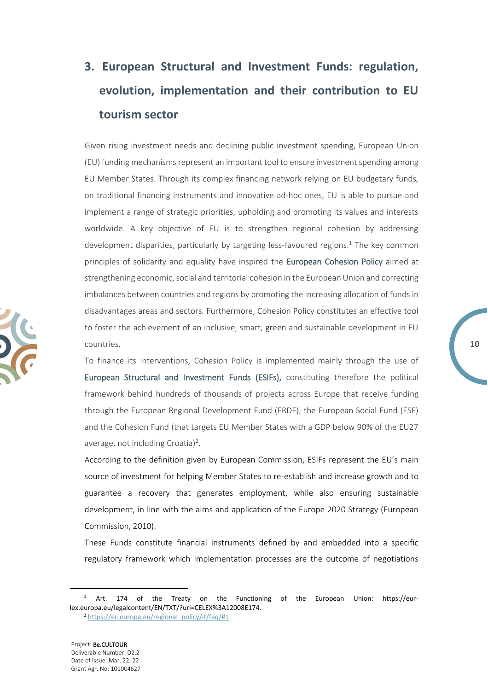# <span id="page-9-0"></span>**3. European Structural and Investment Funds: regulation, evolution, implementation and their contribution to EU tourism sector**

Given rising investment needs and declining public investment spending, European Union (EU) funding mechanisms represent an important tool to ensure investment spending among EU Member States. Through its complex financing network relying on EU budgetary funds, on traditional financing instruments and innovative ad-hoc ones, EU is able to pursue and implement a range of strategic priorities, upholding and promoting its values and interests worldwide. A key objective of EU is to strengthen regional cohesion by addressing development disparities, particularly by targeting less-favoured regions.<sup>1</sup> The key common principles of solidarity and equality have inspired the European Cohesion Policy aimed at strengthening economic, social and territorial cohesion in the European Union and correcting imbalances between countries and regions by promoting the increasing allocation of funds in disadvantages areas and sectors. Furthermore, Cohesion Policy constitutes an effective tool to foster the achievement of an inclusive, smart, green and sustainable development in EU countries.

To finance its interventions, Cohesion Policy is implemented mainly through the use of European Structural and Investment Funds (ESIFs), constituting therefore the political framework behind hundreds of thousands of projects across Europe that receive funding through the European Regional Development Fund (ERDF), the European Social Fund (ESF) and the Cohesion Fund (that targets EU Member States with a GDP below 90% of the EU27 average, not including Croatia)<sup>2</sup>.

According to the definition given by European Commission, ESIFs represent the EU's main source of investment for helping Member States to re-establish and increase growth and to guarantee a recovery that generates employment, while also ensuring sustainable development, in line with the aims and application of the Europe 2020 Strategy (European Commission, 2010).

These Funds constitute financial instruments defined by and embedded into a specific regulatory framework which implementation processes are the outcome of negotiations

<sup>2</sup> [https://ec.europa.eu/regional\\_policy/it/faq/#1](https://ec.europa.eu/regional_policy/it/faq/#1)



Art. 174 of the Treaty on the Functioning of the European Union: https://eurlex.europa.eu/legalcontent/EN/TXT/?uri=CELEX%3A12008E174.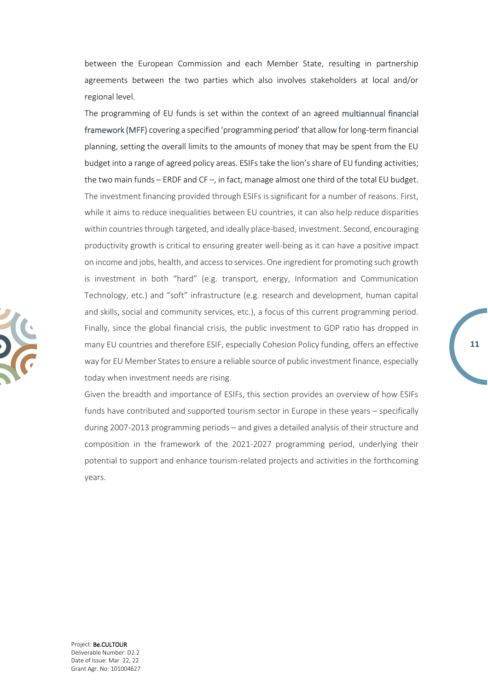between the European Commission and each Member State, resulting in partnership agreements between the two parties which also involves stakeholders at local and/or regional level.

The programming of EU funds is set within the context of an agreed multiannual financial framework (MFF) covering a specified 'programming period' that allow for long-term financial planning, setting the overall limits to the amounts of money that may be spent from the EU budget into a range of agreed policy areas. ESIFs take the lion's share of EU funding activities; the two main funds – ERDF and CF –, in fact, manage almost one third of the total EU budget. The investment financing provided through ESIFs is significant for a number of reasons. First, while it aims to reduce inequalities between EU countries, it can also help reduce disparities within countries through targeted, and ideally place-based, investment. Second, encouraging productivity growth is critical to ensuring greater well-being as it can have a positive impact on income and jobs, health, and access to services. One ingredient for promoting such growth is investment in both "hard" (e.g. transport, energy, Information and Communication Technology, etc.) and "soft" infrastructure (e.g. research and development, human capital and skills, social and community services, etc.), a focus of this current programming period. Finally, since the global financial crisis, the public investment to GDP ratio has dropped in many EU countries and therefore ESIF, especially Cohesion Policy funding, offers an effective way for EU Member States to ensure a reliable source of public investment finance, especially today when investment needs are rising.

Given the breadth and importance of ESIFs, this section provides an overview of how ESIFs funds have contributed and supported tourism sector in Europe in these years – specifically during 2007-2013 programming periods – and gives a detailed analysis of their structure and composition in the framework of the 2021-2027 programming period, underlying their potential to support and enhance tourism-related projects and activities in the forthcoming years.

**11**

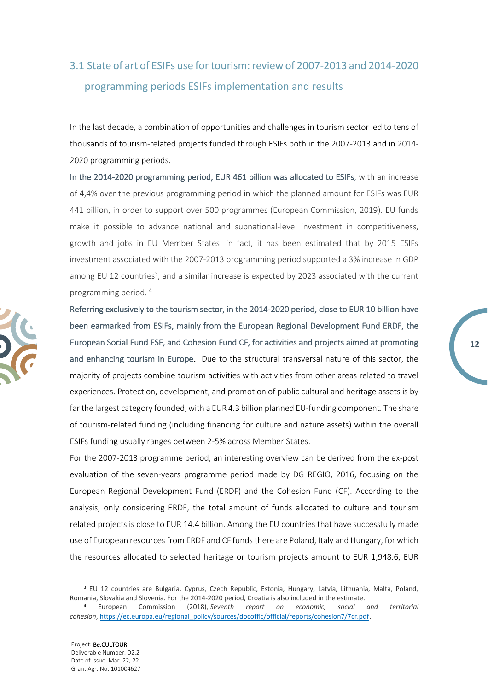# <span id="page-11-0"></span>3.1 State of art of ESIFs use for tourism: review of 2007-2013 and 2014-2020 programming periods ESIFs implementation and results

In the last decade, a combination of opportunities and challenges in tourism sector led to tens of thousands of tourism-related projects funded through ESIFs both in the 2007-2013 and in 2014- 2020 programming periods.

In the 2014-2020 programming period, EUR 461 billion was allocated to ESIFs, with an increase of 4,4% over the previous programming period in which the planned amount for ESIFs was EUR 441 billion, in order to support over 500 programmes (European Commission, 2019). EU funds make it possible to advance national and subnational-level investment in competitiveness, growth and jobs in EU Member States: in fact, it has been estimated that by 2015 ESIFs investment associated with the 2007-2013 programming period supported a 3% increase in GDP among EU 12 countries<sup>3</sup>, and a similar increase is expected by 2023 associated with the current programming period. <sup>4</sup>

Referring exclusively to the tourism sector, in the 2014-2020 period, close to EUR 10 billion have been earmarked from ESIFs, mainly from the European Regional Development Fund ERDF, the European Social Fund ESF, and Cohesion Fund CF, for activities and projects aimed at promoting and enhancing tourism in Europe. Due to the structural transversal nature of this sector, the majority of projects combine tourism activities with activities from other areas related to travel experiences. Protection, development, and promotion of public cultural and heritage assets is by far the largest category founded, with a EUR 4.3 billion planned EU-funding component. The share of tourism-related funding (including financing for culture and nature assets) within the overall ESIFs funding usually ranges between 2-5% across Member States.

**12**

For the 2007-2013 programme period, an interesting overview can be derived from the ex-post evaluation of the seven-years programme period made by DG REGIO, 2016, focusing on the European Regional Development Fund (ERDF) and the Cohesion Fund (CF). According to the analysis, only considering ERDF, the total amount of funds allocated to culture and tourism related projects is close to EUR 14.4 billion. Among the EU countries that have successfully made use of European resources from ERDF and CF funds there are Poland, Italy and Hungary, for which the resources allocated to selected heritage or tourism projects amount to EUR 1,948.6, EUR

<sup>3</sup> EU 12 countries are Bulgaria, Cyprus, Czech Republic, Estonia, Hungary, Latvia, Lithuania, Malta, Poland, Romania, Slovakia and Slovenia. For the 2014-2020 period, Croatia is also included in the estimate.

<sup>4</sup> European Commission (2018), *Seventh report on economic, social and territorial cohesion*, [https://ec.europa.eu/regional\\_policy/sources/docoffic/official/reports/cohesion7/7cr.pdf](https://ec.europa.eu/regional_policy/sources/docoffic/official/reports/cohesion7/7cr.pdf).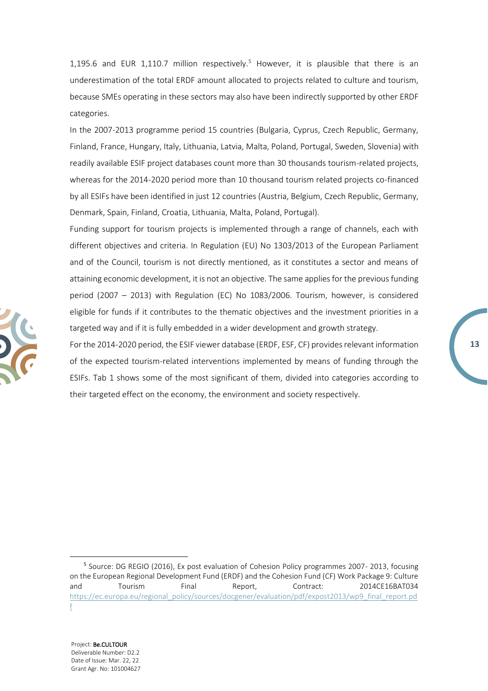1,195.6 and EUR 1,110.7 million respectively.<sup>5</sup> However, it is plausible that there is an underestimation of the total ERDF amount allocated to projects related to culture and tourism, because SMEs operating in these sectors may also have been indirectly supported by other ERDF categories.

In the 2007-2013 programme period 15 countries (Bulgaria, Cyprus, Czech Republic, Germany, Finland, France, Hungary, Italy, Lithuania, Latvia, Malta, Poland, Portugal, Sweden, Slovenia) with readily available ESIF project databases count more than 30 thousands tourism-related projects, whereas for the 2014-2020 period more than 10 thousand tourism related projects co-financed by all ESIFs have been identified in just 12 countries (Austria, Belgium, Czech Republic, Germany, Denmark, Spain, Finland, Croatia, Lithuania, Malta, Poland, Portugal).

Funding support for tourism projects is implemented through a range of channels, each with different objectives and criteria. In Regulation (EU) No 1303/2013 of the European Parliament and of the Council, tourism is not directly mentioned, as it constitutes a sector and means of attaining economic development, it is not an objective. The same applies for the previous funding period (2007 – 2013) with Regulation (EC) No 1083/2006. Tourism, however, is considered eligible for funds if it contributes to the thematic objectives and the investment priorities in a targeted way and if it is fully embedded in a wider development and growth strategy.

For the 2014-2020 period, the ESIF viewer database (ERDF, ESF, CF) provides relevant information of the expected tourism-related interventions implemented by means of funding through the ESIFs. Tab 1 shows some of the most significant of them, divided into categories according to their targeted effect on the economy, the environment and society respectively.



<sup>&</sup>lt;sup>5</sup> Source: DG REGIO (2016), Ex post evaluation of Cohesion Policy programmes 2007- 2013, focusing on the European Regional Development Fund (ERDF) and the Cohesion Fund (CF) Work Package 9: Culture and Tourism Final Report, Contract: 2014CE16BAT034 [https://ec.europa.eu/regional\\_policy/sources/docgener/evaluation/pdf/expost2013/wp9\\_final\\_report.pd](https://ec.europa.eu/regional_policy/sources/docgener/evaluation/pdf/expost2013/wp9_final_report.pdf) [f](https://ec.europa.eu/regional_policy/sources/docgener/evaluation/pdf/expost2013/wp9_final_report.pdf)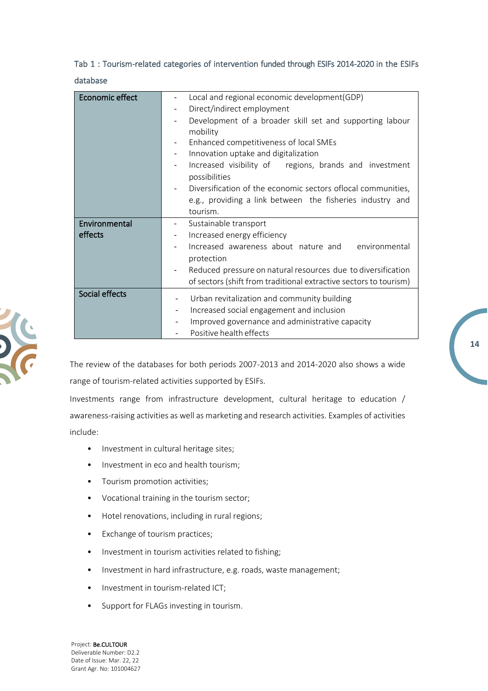### Tab 1 : Tourism-related categories of intervention funded through ESIFs 2014-2020 in the ESIFs database

| <b>Economic effect</b>   | Local and regional economic development(GDP)<br>Direct/indirect employment<br>Development of a broader skill set and supporting labour<br>mobility<br>Enhanced competitiveness of local SMEs<br>Innovation uptake and digitalization<br>Increased visibility of regions, brands and investment<br>possibilities<br>Diversification of the economic sectors of local communities,<br>e.g., providing a link between the fisheries industry and<br>tourism. |
|--------------------------|-----------------------------------------------------------------------------------------------------------------------------------------------------------------------------------------------------------------------------------------------------------------------------------------------------------------------------------------------------------------------------------------------------------------------------------------------------------|
| Environmental<br>effects | Sustainable transport<br>Increased energy efficiency<br>-                                                                                                                                                                                                                                                                                                                                                                                                 |
|                          | Increased awareness about nature and environmental                                                                                                                                                                                                                                                                                                                                                                                                        |
|                          | protection<br>Reduced pressure on natural resources due to diversification                                                                                                                                                                                                                                                                                                                                                                                |
|                          | of sectors (shift from traditional extractive sectors to tourism)                                                                                                                                                                                                                                                                                                                                                                                         |
| Social effects           | Urban revitalization and community building                                                                                                                                                                                                                                                                                                                                                                                                               |
|                          | Increased social engagement and inclusion<br>$\overline{\phantom{a}}$                                                                                                                                                                                                                                                                                                                                                                                     |
|                          | Improved governance and administrative capacity                                                                                                                                                                                                                                                                                                                                                                                                           |
|                          | Positive health effects                                                                                                                                                                                                                                                                                                                                                                                                                                   |

The review of the databases for both periods 2007-2013 and 2014-2020 also shows a wide range of tourism-related activities supported by ESIFs.

Investments range from infrastructure development, cultural heritage to education / awareness-raising activities as well as marketing and research activities. Examples of activities include:

- Investment in cultural heritage sites;
- Investment in eco and health tourism;
- Tourism promotion activities;
- Vocational training in the tourism sector;
- Hotel renovations, including in rural regions;
- Exchange of tourism practices;
- Investment in tourism activities related to fishing;
- Investment in hard infrastructure, e.g. roads, waste management;
- Investment in tourism-related ICT;
- Support for FLAGs investing in tourism.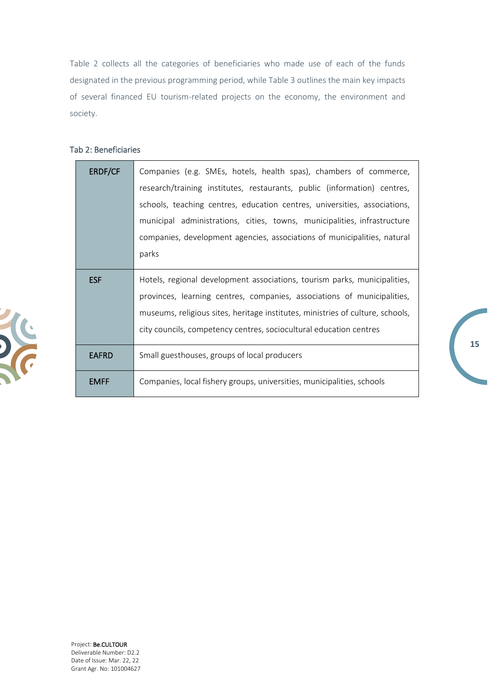Table 2 collects all the categories of beneficiaries who made use of each of the funds designated in the previous programming period, while Table 3 outlines the main key impacts of several financed EU tourism-related projects on the economy, the environment and society.

#### Tab 2: Beneficiaries

| <b>ERDF/CF</b> | Companies (e.g. SMEs, hotels, health spas), chambers of commerce,              |  |  |  |  |
|----------------|--------------------------------------------------------------------------------|--|--|--|--|
|                | research/training institutes, restaurants, public (information) centres,       |  |  |  |  |
|                | schools, teaching centres, education centres, universities, associations,      |  |  |  |  |
|                | municipal administrations, cities, towns, municipalities, infrastructure       |  |  |  |  |
|                | companies, development agencies, associations of municipalities, natural       |  |  |  |  |
|                | parks                                                                          |  |  |  |  |
| <b>ESF</b>     | Hotels, regional development associations, tourism parks, municipalities,      |  |  |  |  |
|                | provinces, learning centres, companies, associations of municipalities,        |  |  |  |  |
|                | museums, religious sites, heritage institutes, ministries of culture, schools, |  |  |  |  |
|                | city councils, competency centres, sociocultural education centres             |  |  |  |  |
| <b>EAFRD</b>   | Small guesthouses, groups of local producers                                   |  |  |  |  |
| <b>EMFF</b>    | Companies, local fishery groups, universities, municipalities, schools         |  |  |  |  |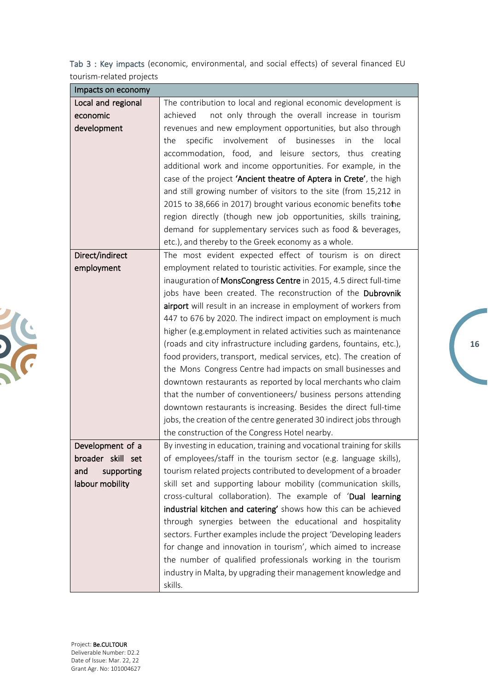| Tab 3: Key impacts (economic, environmental, and social effects) of several financed EU |  |  |  |
|-----------------------------------------------------------------------------------------|--|--|--|
| tourism-related projects                                                                |  |  |  |

| Impacts on economy |                                                                        |
|--------------------|------------------------------------------------------------------------|
| Local and regional | The contribution to local and regional economic development is         |
| economic           | not only through the overall increase in tourism<br>achieved           |
| development        | revenues and new employment opportunities, but also through            |
|                    | involvement<br>of businesses<br>specific<br>the<br>the<br>in<br>local  |
|                    | accommodation, food, and leisure sectors, thus creating                |
|                    | additional work and income opportunities. For example, in the          |
|                    | case of the project 'Ancient theatre of Aptera in Crete', the high     |
|                    | and still growing number of visitors to the site (from 15,212 in       |
|                    | 2015 to 38,666 in 2017) brought various economic benefits tohe         |
|                    | region directly (though new job opportunities, skills training,        |
|                    | demand for supplementary services such as food & beverages,            |
|                    | etc.), and thereby to the Greek economy as a whole.                    |
| Direct/indirect    | The most evident expected effect of tourism is on direct               |
| employment         | employment related to touristic activities. For example, since the     |
|                    | inauguration of MonsCongress Centre in 2015, 4.5 direct full-time      |
|                    | jobs have been created. The reconstruction of the Dubrovnik            |
|                    | airport will result in an increase in employment of workers from       |
|                    | 447 to 676 by 2020. The indirect impact on employment is much          |
|                    | higher (e.g. employment in related activities such as maintenance      |
|                    | (roads and city infrastructure including gardens, fountains, etc.),    |
|                    | food providers, transport, medical services, etc). The creation of     |
|                    | the Mons Congress Centre had impacts on small businesses and           |
|                    | downtown restaurants as reported by local merchants who claim          |
|                    | that the number of conventioneers/ business persons attending          |
|                    | downtown restaurants is increasing. Besides the direct full-time       |
|                    | jobs, the creation of the centre generated 30 indirect jobs through    |
|                    | the construction of the Congress Hotel nearby.                         |
| Development of a   | By investing in education, training and vocational training for skills |
| broader skill set  | of employees/staff in the tourism sector (e.g. language skills),       |
| supporting<br>and  | tourism related projects contributed to development of a broader       |
| labour mobility    | skill set and supporting labour mobility (communication skills,        |
|                    | cross-cultural collaboration). The example of 'Dual learning           |
|                    | industrial kitchen and catering' shows how this can be achieved        |
|                    | through synergies between the educational and hospitality              |
|                    | sectors. Further examples include the project 'Developing leaders      |
|                    | for change and innovation in tourism', which aimed to increase         |
|                    | the number of qualified professionals working in the tourism           |
|                    | industry in Malta, by upgrading their management knowledge and         |
|                    | skills.                                                                |

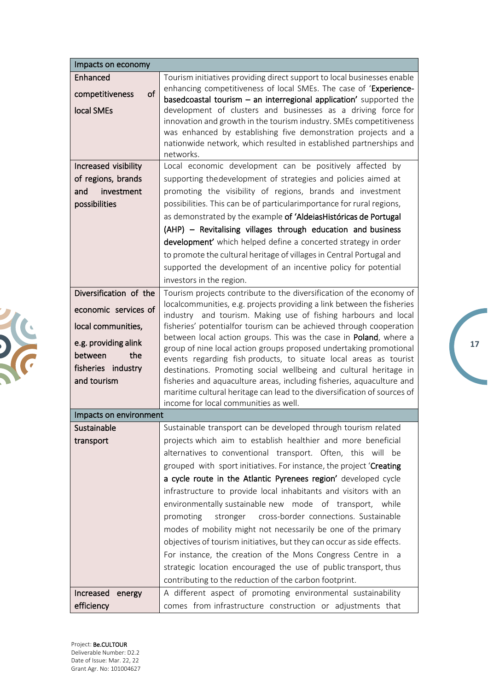| Impacts on economy                                                                                                                                  |                                                                                                                                                                                                                                                                                                                                                                                                                                                                                                                                                                                                                                                                                                                                                                                                                                                                                                                                                                                              |
|-----------------------------------------------------------------------------------------------------------------------------------------------------|----------------------------------------------------------------------------------------------------------------------------------------------------------------------------------------------------------------------------------------------------------------------------------------------------------------------------------------------------------------------------------------------------------------------------------------------------------------------------------------------------------------------------------------------------------------------------------------------------------------------------------------------------------------------------------------------------------------------------------------------------------------------------------------------------------------------------------------------------------------------------------------------------------------------------------------------------------------------------------------------|
| Enhanced<br>of<br>competitiveness<br>local SMEs<br>Increased visibility<br>of regions, brands<br>investment<br>and<br>possibilities                 | Tourism initiatives providing direct support to local businesses enable<br>enhancing competitiveness of local SMEs. The case of 'Experience-<br>based coastal tourism $-$ an interregional application' supported the<br>development of clusters and businesses as a driving force for<br>innovation and growth in the tourism industry. SMEs competitiveness<br>was enhanced by establishing five demonstration projects and a<br>nationwide network, which resulted in established partnerships and<br>networks.<br>Local economic development can be positively affected by<br>supporting thedevelopment of strategies and policies aimed at<br>promoting the visibility of regions, brands and investment<br>possibilities. This can be of particularimportance for rural regions,<br>as demonstrated by the example of 'AldeiasHistóricas de Portugal<br>(AHP) - Revitalising villages through education and business<br>development' which helped define a concerted strategy in order |
|                                                                                                                                                     | to promote the cultural heritage of villages in Central Portugal and<br>supported the development of an incentive policy for potential<br>investors in the region.                                                                                                                                                                                                                                                                                                                                                                                                                                                                                                                                                                                                                                                                                                                                                                                                                           |
| Diversification of the<br>economic services of<br>local communities,<br>e.g. providing alink<br>the<br>between<br>fisheries industry<br>and tourism | Tourism projects contribute to the diversification of the economy of<br>localcommunities, e.g. projects providing a link between the fisheries<br>industry and tourism. Making use of fishing harbours and local<br>fisheries' potentialfor tourism can be achieved through cooperation<br>between local action groups. This was the case in Poland, where a<br>group of nine local action groups proposed undertaking promotional<br>events regarding fish products, to situate local areas as tourist<br>destinations. Promoting social wellbeing and cultural heritage in<br>fisheries and aquaculture areas, including fisheries, aquaculture and<br>maritime cultural heritage can lead to the diversification of sources of<br>income for local communities as well.                                                                                                                                                                                                                   |
| Impacts on environment                                                                                                                              |                                                                                                                                                                                                                                                                                                                                                                                                                                                                                                                                                                                                                                                                                                                                                                                                                                                                                                                                                                                              |
| Sustainable<br>transport                                                                                                                            | Sustainable transport can be developed through tourism related<br>projects which aim to establish healthier and more beneficial<br>alternatives to conventional transport. Often, this will be<br>grouped with sport initiatives. For instance, the project 'Creating<br>a cycle route in the Atlantic Pyrenees region' developed cycle<br>infrastructure to provide local inhabitants and visitors with an<br>environmentally sustainable new mode of transport, while<br>cross-border connections. Sustainable<br>promoting<br>stronger<br>modes of mobility might not necessarily be one of the primary<br>objectives of tourism initiatives, but they can occur as side effects.<br>For instance, the creation of the Mons Congress Centre in a<br>strategic location encouraged the use of public transport, thus<br>contributing to the reduction of the carbon footprint.                                                                                                             |
| Increased<br>energy<br>efficiency                                                                                                                   | A different aspect of promoting environmental sustainability<br>comes from infrastructure construction or adjustments that                                                                                                                                                                                                                                                                                                                                                                                                                                                                                                                                                                                                                                                                                                                                                                                                                                                                   |

**17**

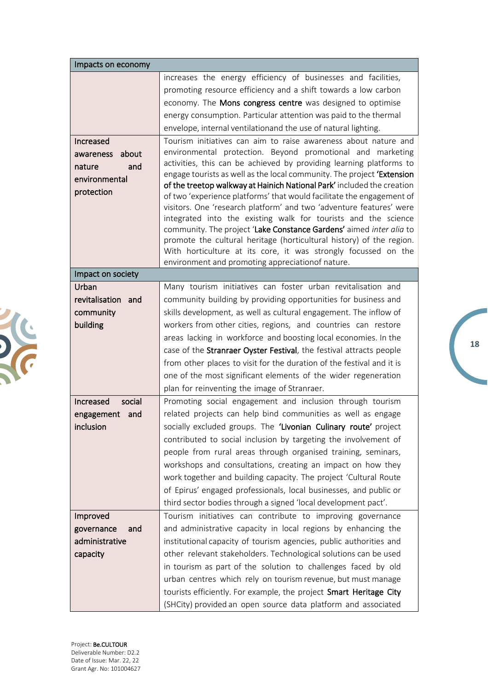| Impacts on economy                                                              |                                                                                                                                                                                                                                                                                                                                                                                                                                                                                                                                                                                                                                                                                                                                                                                                                                                                                                                                                                                                                                                                                                                                                                                        |
|---------------------------------------------------------------------------------|----------------------------------------------------------------------------------------------------------------------------------------------------------------------------------------------------------------------------------------------------------------------------------------------------------------------------------------------------------------------------------------------------------------------------------------------------------------------------------------------------------------------------------------------------------------------------------------------------------------------------------------------------------------------------------------------------------------------------------------------------------------------------------------------------------------------------------------------------------------------------------------------------------------------------------------------------------------------------------------------------------------------------------------------------------------------------------------------------------------------------------------------------------------------------------------|
| Increased<br>about<br>awareness<br>and<br>nature<br>environmental<br>protection | increases the energy efficiency of businesses and facilities,<br>promoting resource efficiency and a shift towards a low carbon<br>economy. The Mons congress centre was designed to optimise<br>energy consumption. Particular attention was paid to the thermal<br>envelope, internal ventilationand the use of natural lighting.<br>Tourism initiatives can aim to raise awareness about nature and<br>environmental protection. Beyond promotional and marketing<br>activities, this can be achieved by providing learning platforms to<br>engage tourists as well as the local community. The project 'Extension<br>of the treetop walkway at Hainich National Park' included the creation<br>of two 'experience platforms' that would facilitate the engagement of<br>visitors. One 'research platform' and two 'adventure features' were<br>integrated into the existing walk for tourists and the science<br>community. The project 'Lake Constance Gardens' aimed inter alia to<br>promote the cultural heritage (horticultural history) of the region.<br>With horticulture at its core, it was strongly focussed on the<br>environment and promoting appreciationof nature. |
| Impact on society                                                               |                                                                                                                                                                                                                                                                                                                                                                                                                                                                                                                                                                                                                                                                                                                                                                                                                                                                                                                                                                                                                                                                                                                                                                                        |
| Urban<br>revitalisation and<br>community<br>building                            | Many tourism initiatives can foster urban revitalisation and<br>community building by providing opportunities for business and<br>skills development, as well as cultural engagement. The inflow of<br>workers from other cities, regions, and countries can restore<br>areas lacking in workforce and boosting local economies. In the<br>case of the Stranraer Oyster Festival, the festival attracts people<br>from other places to visit for the duration of the festival and it is<br>one of the most significant elements of the wider regeneration<br>plan for reinventing the image of Stranraer.                                                                                                                                                                                                                                                                                                                                                                                                                                                                                                                                                                              |
| social<br>Increased<br>engagement<br>and<br>inclusion                           | Promoting social engagement and inclusion through tourism<br>related projects can help bind communities as well as engage<br>socially excluded groups. The 'Livonian Culinary route' project<br>contributed to social inclusion by targeting the involvement of<br>people from rural areas through organised training, seminars,<br>workshops and consultations, creating an impact on how they<br>work together and building capacity. The project 'Cultural Route<br>of Epirus' engaged professionals, local businesses, and public or<br>third sector bodies through a signed 'local development pact'.                                                                                                                                                                                                                                                                                                                                                                                                                                                                                                                                                                             |
| Improved<br>governance<br>and<br>administrative<br>capacity                     | Tourism initiatives can contribute to improving governance<br>and administrative capacity in local regions by enhancing the<br>institutional capacity of tourism agencies, public authorities and<br>other relevant stakeholders. Technological solutions can be used<br>in tourism as part of the solution to challenges faced by old<br>urban centres which rely on tourism revenue, but must manage<br>tourists efficiently. For example, the project Smart Heritage City<br>(SHCity) provided an open source data platform and associated                                                                                                                                                                                                                                                                                                                                                                                                                                                                                                                                                                                                                                          |

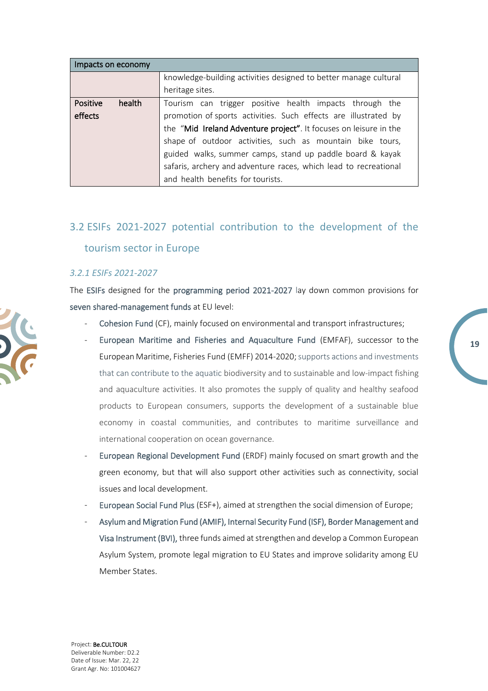| Impacts on economy |                                                                   |  |  |
|--------------------|-------------------------------------------------------------------|--|--|
|                    | knowledge-building activities designed to better manage cultural  |  |  |
|                    | heritage sites.                                                   |  |  |
| Positive<br>health | Tourism can trigger positive health impacts through the           |  |  |
| effects            | promotion of sports activities. Such effects are illustrated by   |  |  |
|                    | the "Mid Ireland Adventure project". It focuses on leisure in the |  |  |
|                    | shape of outdoor activities, such as mountain bike tours,         |  |  |
|                    | guided walks, summer camps, stand up paddle board & kayak         |  |  |
|                    | safaris, archery and adventure races, which lead to recreational  |  |  |
|                    | and health benefits for tourists.                                 |  |  |

# <span id="page-18-0"></span>3.2 ESIFs 2021-2027 potential contribution to the development of the tourism sector in Europe

#### <span id="page-18-1"></span>*3.2.1 ESIFs 2021-2027*

The ESIFs designed for the programming period 2021-2027 lay down common provisions for seven shared-management funds at EU level:

- Cohesion Fund (CF), mainly focused on environmental and transport infrastructures;
- European Maritime and Fisheries and Aquaculture Fund (EMFAF), successor to the European Maritime, Fisheries Fund (EMFF) 2014-2020; supports actions and investments that can contribute to the aquatic biodiversity and to sustainable and low-impact fishing and aquaculture activities. It also promotes the supply of quality and healthy seafood products to European consumers, supports the development of a sustainable blue economy in coastal communities, and contributes to maritime surveillance and international cooperation on ocean governance.

**19**

- European Regional Development Fund (ERDF) mainly focused on smart growth and the green economy, but that will also support other activities such as connectivity, social issues and local development.
- European Social Fund Plus (ESF+), aimed at strengthen the social dimension of Europe;
- Asylum and Migration Fund (AMIF), Internal Security Fund (ISF), Border Management and Visa Instrument (BVI), three funds aimed at strengthen and develop a Common European Asylum System, promote legal migration to EU States and improve solidarity among EU Member States.

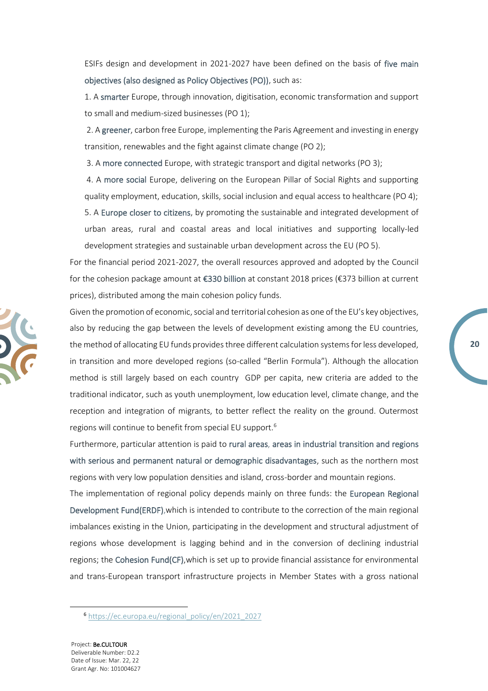ESIFs design and development in 2021-2027 have been defined on the basis of five main objectives (also designed as Policy Objectives (PO)), such as:

1. A smarter Europe, through innovation, digitisation, economic transformation and support to small and medium-sized businesses (PO 1);

2. A greener, carbon free Europe, implementing the Paris Agreement and investing in energy transition, renewables and the fight against climate change (PO 2);

3. A more connected Europe, with strategic transport and digital networks (PO 3);

4. A more social Europe, delivering on the European Pillar of Social Rights and supporting quality employment, education, skills, social inclusion and equal access to healthcare (PO 4); 5. A Europe closer to citizens, by promoting the sustainable and integrated development of urban areas, rural and coastal areas and local initiatives and supporting locally-led development strategies and sustainable urban development across the EU (PO 5).

For the financial period 2021-2027, the overall resources approved and adopted by the Council for the cohesion package amount at €330 billion at constant 2018 prices (€373 billion at current prices), distributed among the main cohesion policy funds.

Given the promotion of economic, social and territorial cohesion as one of the EU's key objectives, also by reducing the gap between the levels of development existing among the EU countries, the method of allocating EU funds provides three different calculation systems for less developed, in transition and more developed regions (so-called "Berlin Formula"). Although the allocation method is still largely based on each country GDP per capita, new criteria are added to the traditional indicator, such as youth unemployment, low education level, climate change, and the reception and integration of migrants, to better reflect the reality on the ground. Outermost regions will continue to benefit from special EU support.<sup>6</sup>

Furthermore, particular attention is paid to rural areas, areas in industrial transition and regions with serious and permanent natural or demographic disadvantages, such as the northern most regions with very low population densities and island, cross-border and mountain regions.

The implementation of regional policy depends mainly on three funds: the European Regional Development Fund(ERDF),which is intended to contribute to the correction of the main regional imbalances existing in the Union, participating in the development and structural adjustment of regions whose development is lagging behind and in the conversion of declining industrial regions; the Cohesion Fund(CF),which is set up to provide financial assistance for environmental and trans-European transport infrastructure projects in Member States with a gross national

<sup>6</sup> [https://ec.europa.eu/regional\\_policy/en/2021\\_2027](https://ec.europa.eu/regional_policy/en/2021_2027)



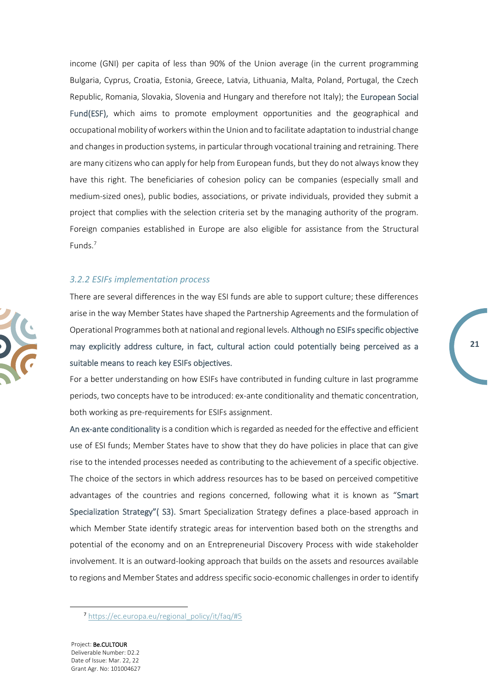income (GNI) per capita of less than 90% of the Union average (in the current programming Bulgaria, Cyprus, Croatia, Estonia, Greece, Latvia, Lithuania, Malta, Poland, Portugal, the Czech Republic, Romania, Slovakia, Slovenia and Hungary and therefore not Italy); the European Social Fund(ESF), which aims to promote employment opportunities and the geographical and occupational mobility of workers within the Union and to facilitate adaptation to industrial change and changes in production systems, in particular through vocational training and retraining. There are many citizens who can apply for help from European funds, but they do not always know they have this right. The beneficiaries of cohesion policy can be companies (especially small and medium-sized ones), public bodies, associations, or private individuals, provided they submit a project that complies with the selection criteria set by the managing authority of the program. Foreign companies established in Europe are also eligible for assistance from the Structural Funds.<sup>7</sup>

#### <span id="page-20-0"></span>*3.2.2 ESIFs implementation process*



There are several differences in the way ESI funds are able to support culture; these differences arise in the way Member States have shaped the Partnership Agreements and the formulation of Operational Programmes both at national and regional levels. Although no ESIFs specific objective may explicitly address culture, in fact, cultural action could potentially being perceived as a suitable means to reach key ESIFs objectives.

For a better understanding on how ESIFs have contributed in funding culture in last programme periods, two concepts have to be introduced: ex-ante conditionality and thematic concentration, both working as pre-requirements for ESIFs assignment.

An ex-ante conditionality is a condition which is regarded as needed for the effective and efficient use of ESI funds; Member States have to show that they do have policies in place that can give rise to the intended processes needed as contributing to the achievement of a specific objective. The choice of the sectors in which address resources has to be based on perceived competitive advantages of the countries and regions concerned, following what it is known as "Smart Specialization Strategy"( S3). Smart Specialization Strategy defines a place-based approach in which Member State identify strategic areas for intervention based both on the strengths and potential of the economy and on an Entrepreneurial Discovery Process with wide stakeholder involvement. It is an outward-looking approach that builds on the assets and resources available to regions and Member States and address specific socio-economic challenges in order to identify

<sup>7</sup> [https://ec.europa.eu/regional\\_policy/it/faq/#5](https://ec.europa.eu/regional_policy/it/faq/#5)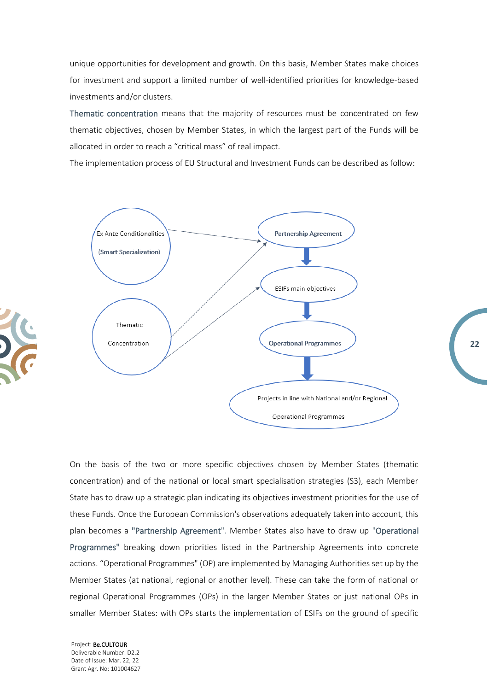unique opportunities for development and growth. On this basis, Member States make choices for investment and support a limited number of well-identified priorities for knowledge-based investments and/or clusters.

Thematic concentration means that the majority of resources must be concentrated on few thematic objectives, chosen by Member States, in which the largest part of the Funds will be allocated in order to reach a "critical mass" of real impact.

The implementation process of EU Structural and Investment Funds can be described as follow:



**22**

On the basis of the two or more specific objectives chosen by Member States (thematic concentration) and of the national or local smart specialisation strategies (S3), each Member State has to draw up a strategic plan indicating its objectives investment priorities for the use of these Funds. Once the European Commission's observations adequately taken into account, this plan becomes a "Partnership Agreement". Member States also have to draw up "Operational Programmes" breaking down priorities listed in the Partnership Agreements into concrete actions. "Operational Programmes" (OP) are implemented by Managing Authorities set up by the Member States (at national, regional or another level). These can take the form of national or regional Operational Programmes (OPs) in the larger Member States or just national OPs in smaller Member States: with OPs starts the implementation of ESIFs on the ground of specific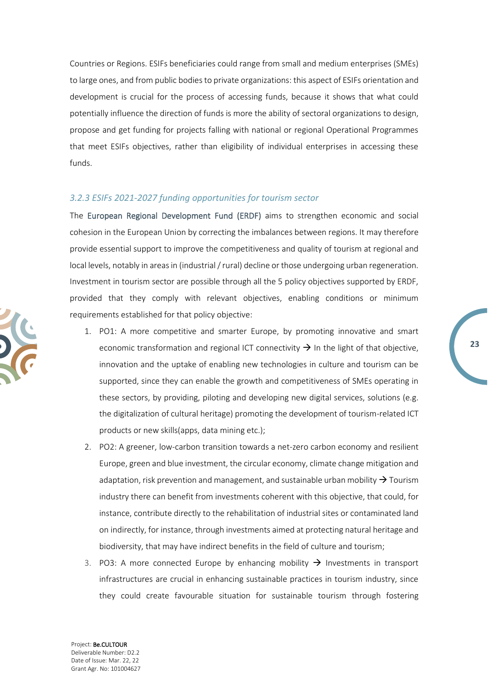Countries or Regions. ESIFs beneficiaries could range from small and medium enterprises (SMEs) to large ones, and from public bodies to private organizations: this aspect of ESIFs orientation and development is crucial for the process of accessing funds, because it shows that what could potentially influence the direction of funds is more the ability of sectoral organizations to design, propose and get funding for projects falling with national or regional Operational Programmes that meet ESIFs objectives, rather than eligibility of individual enterprises in accessing these funds.

#### <span id="page-22-0"></span>*3.2.3 ESIFs 2021-2027 funding opportunities for tourism sector*

The European Regional Development Fund (ERDF) aims to strengthen economic and social cohesion in the European Union by correcting the imbalances between regions. It may therefore provide essential support to improve the competitiveness and quality of tourism at regional and local levels, notably in areas in (industrial / rural) decline or those undergoing urban regeneration. Investment in tourism sector are possible through all the 5 policy objectives supported by ERDF, provided that they comply with relevant objectives, enabling conditions or minimum requirements established for that policy objective:

- 1. PO1: A more competitive and smarter Europe, by promoting innovative and smart economic transformation and regional ICT connectivity  $\rightarrow$  In the light of that objective, innovation and the uptake of enabling new technologies in culture and tourism can be supported, since they can enable the growth and competitiveness of SMEs operating in these sectors, by providing, piloting and developing new digital services, solutions (e.g. the digitalization of cultural heritage) promoting the development of tourism-related ICT products or new skills(apps, data mining etc.);
- 2. PO2: A greener, low-carbon transition towards a net-zero carbon economy and resilient Europe, green and blue investment, the circular economy, climate change mitigation and adaptation, risk prevention and management, and sustainable urban mobility  $\rightarrow$  Tourism industry there can benefit from investments coherent with this objective, that could, for instance, contribute directly to the rehabilitation of industrial sites or contaminated land on indirectly, for instance, through investments aimed at protecting natural heritage and biodiversity, that may have indirect benefits in the field of culture and tourism;
- 3. PO3: A more connected Europe by enhancing mobility  $\rightarrow$  Investments in transport infrastructures are crucial in enhancing sustainable practices in tourism industry, since they could create favourable situation for sustainable tourism through fostering

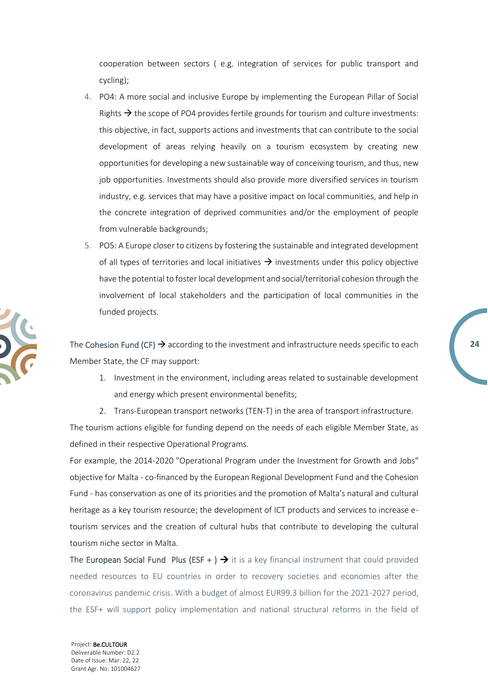cooperation between sectors ( e.g. integration of services for public transport and cycling);

- 4. PO4: A more social and inclusive Europe by implementing the European Pillar of Social Rights  $\rightarrow$  the scope of PO4 provides fertile grounds for tourism and culture investments: this objective, in fact, supports actions and investments that can contribute to the social development of areas relying heavily on a tourism ecosystem by creating new opportunities for developing a new sustainable way of conceiving tourism, and thus, new job opportunities. Investments should also provide more diversified services in tourism industry, e.g. services that may have a positive impact on local communities, and help in the concrete integration of deprived communities and/or the employment of people from vulnerable backgrounds;
- 5. PO5: A Europe closer to citizens by fostering the sustainable and integrated development of all types of territories and local initiatives  $\rightarrow$  investments under this policy objective have the potential to foster local development and social/territorial cohesion through the involvement of local stakeholders and the participation of local communities in the funded projects.

The Cohesion Fund (CF)  $\rightarrow$  according to the investment and infrastructure needs specific to each Member State, the CF may support:

1. Investment in the environment, including areas related to sustainable development and energy which present environmental benefits;

**24**

2. Trans-European transport networks (TEN-T) in the area of transport infrastructure.

The tourism actions eligible for funding depend on the needs of each eligible Member State, as defined in their respective Operational Programs.

For example, the 2014-2020 "Operational Program under the Investment for Growth and Jobs" objective for Malta - co-financed by the European Regional Development Fund and the Cohesion Fund - has conservation as one of its priorities and the promotion of Malta's natural and cultural heritage as a key tourism resource; the development of ICT products and services to increase etourism services and the creation of cultural hubs that contribute to developing the cultural tourism niche sector in Malta.

The European Social Fund Plus (ESF + )  $\rightarrow$  it is a key financial instrument that could provided needed resources to EU countries in order to recovery societies and economies after the coronavirus pandemic crisis. With a budget of almost EUR99.3 billion for the 2021-2027 period, the ESF+ will support policy implementation and national structural reforms in the field of

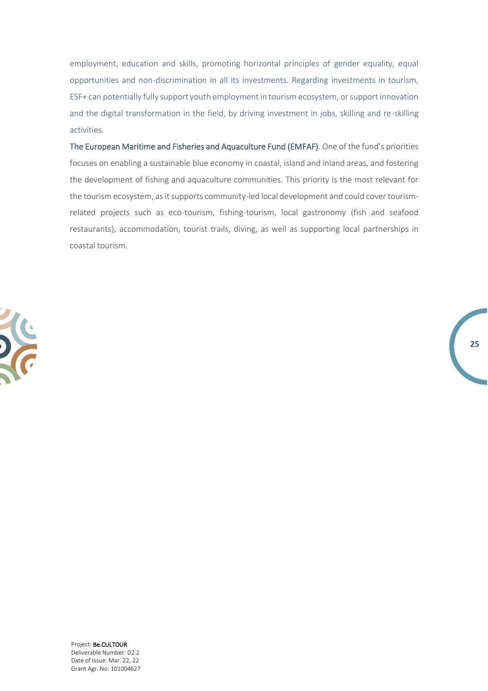employment, education and skills, promoting horizontal principles of gender equality, equal opportunities and non-discrimination in all its investments. Regarding investments in tourism, ESF+ can potentially fully support youth employment in tourism ecosystem, or support innovation and the digital transformation in the field, by driving investment in jobs, skilling and re-skilling activities.

The European Maritime and Fisheries and Aquaculture Fund (EMFAF). One of the fund's priorities focuses on enabling a sustainable blue economy in coastal, island and inland areas, and fostering the development of fishing and aquaculture communities. This priority is the most relevant for the tourism ecosystem, as it supports community-led local development and could cover tourismrelated projects such as eco-tourism, fishing-tourism, local gastronomy (fish and seafood restaurants), accommodation, tourist trails, diving, as well as supporting local partnerships in coastal tourism.

**25**

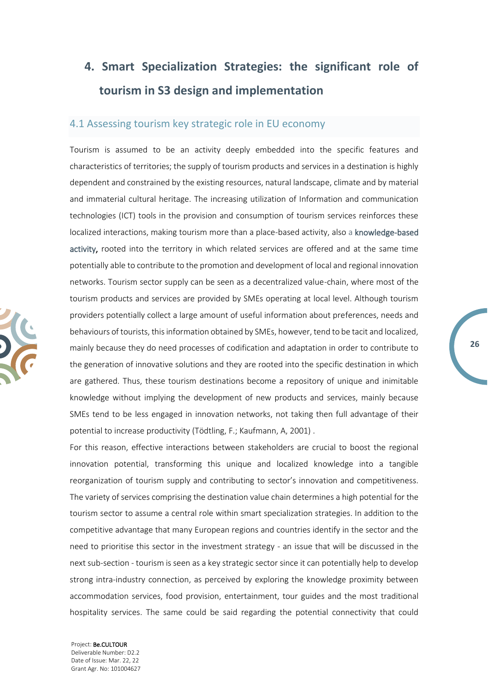# <span id="page-25-0"></span>**4. Smart Specialization Strategies: the significant role of tourism in S3 design and implementation**

#### <span id="page-25-1"></span>4.1 Assessing tourism key strategic role in EU economy

Tourism is assumed to be an activity deeply embedded into the specific features and characteristics of territories; the supply of tourism products and services in a destination is highly dependent and constrained by the existing resources, natural landscape, climate and by material and immaterial cultural heritage. The increasing utilization of Information and communication technologies (ICT) tools in the provision and consumption of tourism services reinforces these localized interactions, making tourism more than a place-based activity, also a knowledge-based activity, rooted into the territory in which related services are offered and at the same time potentially able to contribute to the promotion and development of local and regional innovation networks. Tourism sector supply can be seen as a decentralized value-chain, where most of the tourism products and services are provided by SMEs operating at local level. Although tourism providers potentially collect a large amount of useful information about preferences, needs and behaviours of tourists, this information obtained by SMEs, however, tend to be tacit and localized, mainly because they do need processes of codification and adaptation in order to contribute to the generation of innovative solutions and they are rooted into the specific destination in which are gathered. Thus, these tourism destinations become a repository of unique and inimitable knowledge without implying the development of new products and services, mainly because SMEs tend to be less engaged in innovation networks, not taking then full advantage of their potential to increase productivity (Tödtling, F.; Kaufmann, A, 2001) .

**26**

For this reason, effective interactions between stakeholders are crucial to boost the regional innovation potential, transforming this unique and localized knowledge into a tangible reorganization of tourism supply and contributing to sector's innovation and competitiveness. The variety of services comprising the destination value chain determines a high potential for the tourism sector to assume a central role within smart specialization strategies. In addition to the competitive advantage that many European regions and countries identify in the sector and the need to prioritise this sector in the investment strategy - an issue that will be discussed in the next sub-section - tourism is seen as a key strategic sector since it can potentially help to develop strong intra-industry connection, as perceived by exploring the knowledge proximity between accommodation services, food provision, entertainment, tour guides and the most traditional hospitality services. The same could be said regarding the potential connectivity that could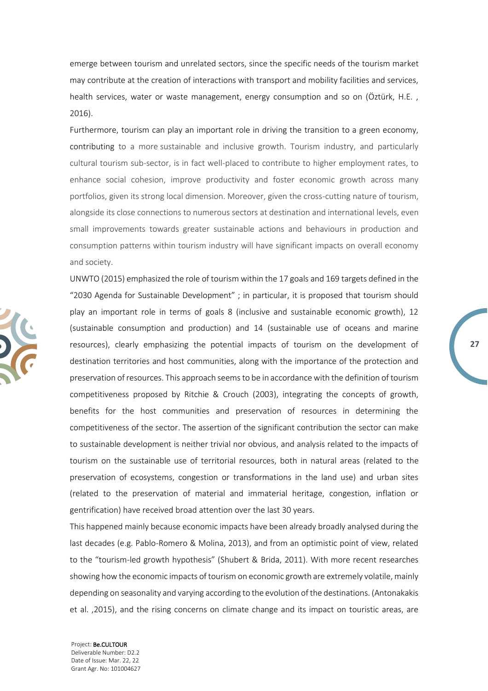emerge between tourism and unrelated sectors, since the specific needs of the tourism market may contribute at the creation of interactions with transport and mobility facilities and services, health services, water or waste management, energy consumption and so on (Öztürk, H.E. , 2016).

Furthermore, tourism can play an important role in driving the transition to a green economy, contributing to a more sustainable and inclusive growth. Tourism industry, and particularly cultural tourism sub-sector, is in fact well-placed to contribute to higher employment rates, to enhance social cohesion, improve productivity and foster economic growth across many portfolios, given its strong local dimension. Moreover, given the cross-cutting nature of tourism, alongside its close connections to numerous sectors at destination and international levels, even small improvements towards greater sustainable actions and behaviours in production and consumption patterns within tourism industry will have significant impacts on overall economy and society.

UNWTO (2015) emphasized the role of tourism within the 17 goals and 169 targets defined in the "2030 Agenda for Sustainable Development" ; in particular, it is proposed that tourism should play an important role in terms of goals 8 (inclusive and sustainable economic growth), 12 (sustainable consumption and production) and 14 (sustainable use of oceans and marine resources), clearly emphasizing the potential impacts of tourism on the development of destination territories and host communities, along with the importance of the protection and preservation of resources. This approach seems to be in accordance with the definition of tourism competitiveness proposed by Ritchie & Crouch (2003), integrating the concepts of growth, benefits for the host communities and preservation of resources in determining the competitiveness of the sector. The assertion of the significant contribution the sector can make to sustainable development is neither trivial nor obvious, and analysis related to the impacts of tourism on the sustainable use of territorial resources, both in natural areas (related to the preservation of ecosystems, congestion or transformations in the land use) and urban sites (related to the preservation of material and immaterial heritage, congestion, inflation or gentrification) have received broad attention over the last 30 years.

**27**

This happened mainly because economic impacts have been already broadly analysed during the last decades (e.g. Pablo-Romero & Molina, 2013), and from an optimistic point of view, related to the "tourism-led growth hypothesis" (Shubert & Brida, 2011). With more recent researches showing how the economic impacts of tourism on economic growth are extremely volatile, mainly depending on seasonality and varying according to the evolution of the destinations. (Antonakakis et al. ,2015), and the rising concerns on climate change and its impact on touristic areas, are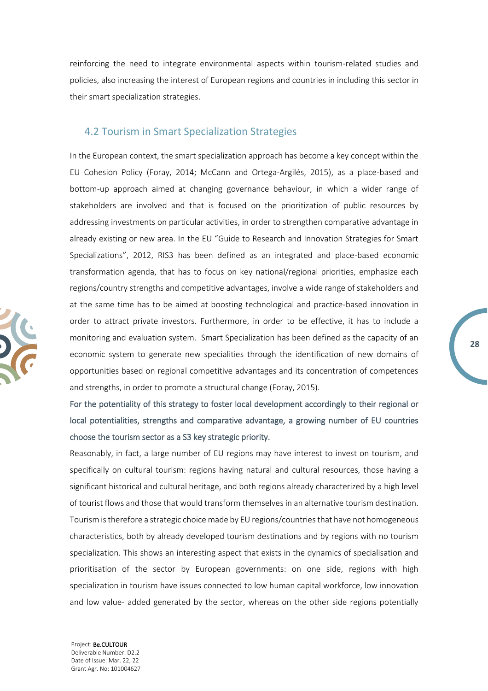reinforcing the need to integrate environmental aspects within tourism-related studies and policies, also increasing the interest of European regions and countries in including this sector in their smart specialization strategies.

#### <span id="page-27-0"></span>4.2 Tourism in Smart Specialization Strategies

In the European context, the smart specialization approach has become a key concept within the EU Cohesion Policy (Foray, 2014; McCann and Ortega-Argilés, 2015), as a place-based and bottom-up approach aimed at changing governance behaviour, in which a wider range of stakeholders are involved and that is focused on the prioritization of public resources by addressing investments on particular activities, in order to strengthen comparative advantage in already existing or new area. In the EU "Guide to Research and Innovation Strategies for Smart Specializations", 2012, RIS3 has been defined as an integrated and place-based economic transformation agenda, that has to focus on key national/regional priorities, emphasize each regions/country strengths and competitive advantages, involve a wide range of stakeholders and at the same time has to be aimed at boosting technological and practice-based innovation in order to attract private investors. Furthermore, in order to be effective, it has to include a monitoring and evaluation system. Smart Specialization has been defined as the capacity of an economic system to generate new specialities through the identification of new domains of opportunities based on regional competitive advantages and its concentration of competences and strengths, in order to promote a structural change (Foray, 2015).

For the potentiality of this strategy to foster local development accordingly to their regional or local potentialities, strengths and comparative advantage, a growing number of EU countries choose the tourism sector as a S3 key strategic priority.

Reasonably, in fact, a large number of EU regions may have interest to invest on tourism, and specifically on cultural tourism: regions having natural and cultural resources, those having a significant historical and cultural heritage, and both regions already characterized by a high level of tourist flows and those that would transform themselves in an alternative tourism destination. Tourism is therefore a strategic choice made by EU regions/countries that have not homogeneous characteristics, both by already developed tourism destinations and by regions with no tourism specialization. This shows an interesting aspect that exists in the dynamics of specialisation and prioritisation of the sector by European governments: on one side, regions with high specialization in tourism have issues connected to low human capital workforce, low innovation and low value- added generated by the sector, whereas on the other side regions potentially

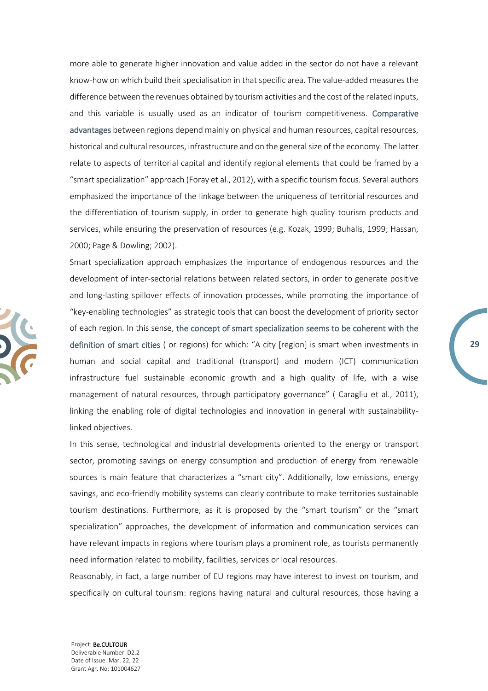more able to generate higher innovation and value added in the sector do not have a relevant know-how on which build their specialisation in that specific area. The value-added measures the difference between the revenues obtained by tourism activities and the cost of the related inputs, and this variable is usually used as an indicator of tourism competitiveness. Comparative advantages between regions depend mainly on physical and human resources, capital resources, historical and cultural resources, infrastructure and on the general size of the economy. The latter relate to aspects of territorial capital and identify regional elements that could be framed by a "smart specialization" approach (Foray et al., 2012), with a specific tourism focus. Several authors emphasized the importance of the linkage between the uniqueness of territorial resources and the differentiation of tourism supply, in order to generate high quality tourism products and services, while ensuring the preservation of resources (e.g. Kozak, 1999; Buhalis, 1999; Hassan, 2000; Page & Dowling; 2002).

Smart specialization approach emphasizes the importance of endogenous resources and the development of inter-sectorial relations between related sectors, in order to generate positive and long-lasting spillover effects of innovation processes, while promoting the importance of "key-enabling technologies" as strategic tools that can boost the development of priority sector of each region. In this sense, the concept of smart specialization seems to be coherent with the definition of smart cities ( or regions) for which: "A city [region] is smart when investments in human and social capital and traditional (transport) and modern (ICT) communication infrastructure fuel sustainable economic growth and a high quality of life, with a wise management of natural resources, through participatory governance" ( Caragliu et al., 2011), linking the enabling role of digital technologies and innovation in general with sustainabilitylinked objectives.

**29**

In this sense, technological and industrial developments oriented to the energy or transport sector, promoting savings on energy consumption and production of energy from renewable sources is main feature that characterizes a "smart city". Additionally, low emissions, energy savings, and eco-friendly mobility systems can clearly contribute to make territories sustainable tourism destinations. Furthermore, as it is proposed by the "smart tourism" or the "smart specialization" approaches, the development of information and communication services can have relevant impacts in regions where tourism plays a prominent role, as tourists permanently need information related to mobility, facilities, services or local resources.

Reasonably, in fact, a large number of EU regions may have interest to invest on tourism, and specifically on cultural tourism: regions having natural and cultural resources, those having a

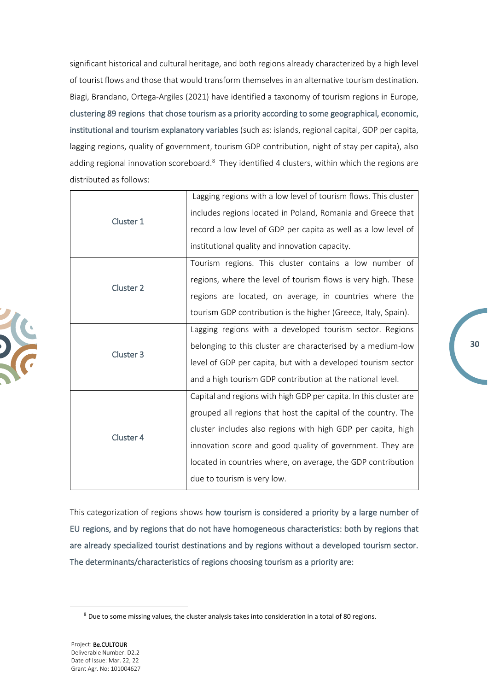significant historical and cultural heritage, and both regions already characterized by a high level of tourist flows and those that would transform themselves in an alternative tourism destination. Biagi, Brandano, Ortega-Argiles (2021) have identified a taxonomy of tourism regions in Europe, clustering 89 regions that chose tourism as a priority according to some geographical, economic, institutional and tourism explanatory variables (such as: islands, regional capital, GDP per capita, lagging regions, quality of government, tourism GDP contribution, night of stay per capita), also adding regional innovation scoreboard.<sup>8</sup> They identified 4 clusters, within which the regions are distributed as follows:

|                      | Lagging regions with a low level of tourism flows. This cluster   |
|----------------------|-------------------------------------------------------------------|
| Cluster 1            | includes regions located in Poland, Romania and Greece that       |
|                      | record a low level of GDP per capita as well as a low level of    |
|                      | institutional quality and innovation capacity.                    |
|                      | Tourism regions. This cluster contains a low number of            |
| Cluster 2            | regions, where the level of tourism flows is very high. These     |
|                      | regions are located, on average, in countries where the           |
|                      | tourism GDP contribution is the higher (Greece, Italy, Spain).    |
|                      | Lagging regions with a developed tourism sector. Regions          |
| Cluster <sub>3</sub> | belonging to this cluster are characterised by a medium-low       |
|                      | level of GDP per capita, but with a developed tourism sector      |
|                      | and a high tourism GDP contribution at the national level.        |
|                      | Capital and regions with high GDP per capita. In this cluster are |
|                      | grouped all regions that host the capital of the country. The     |
|                      | cluster includes also regions with high GDP per capita, high      |
| Cluster 4            | innovation score and good quality of government. They are         |
|                      | located in countries where, on average, the GDP contribution      |
|                      | due to tourism is very low.                                       |

This categorization of regions shows how tourism is considered a priority by a large number of EU regions, and by regions that do not have homogeneous characteristics: both by regions that are already specialized tourist destinations and by regions without a developed tourism sector. The determinants/characteristics of regions choosing tourism as a priority are:

 $8$  Due to some missing values, the cluster analysis takes into consideration in a total of 80 regions.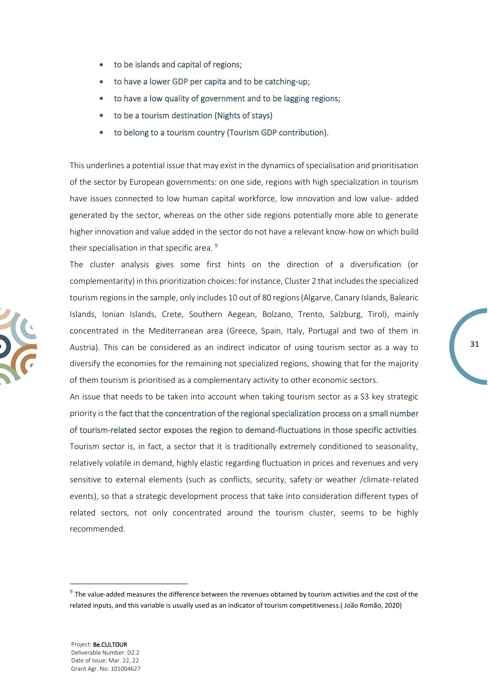- to be islands and capital of regions;
- to have a lower GDP per capita and to be catching-up;
- to have a low quality of government and to be lagging regions;
- to be a tourism destination (Nights of stays)
- to belong to a tourism country (Tourism GDP contribution).

This underlines a potential issue that may exist in the dynamics of specialisation and prioritisation of the sector by European governments: on one side, regions with high specialization in tourism have issues connected to low human capital workforce, low innovation and low value- added generated by the sector, whereas on the other side regions potentially more able to generate higher innovation and value added in the sector do not have a relevant know-how on which build their specialisation in that specific area.<sup>9</sup>

The cluster analysis gives some first hints on the direction of a diversification (or complementarity) in this prioritization choices: for instance, Cluster 2 that includes the specialized tourism regions in the sample, only includes 10 out of 80 regions(Algarve, Canary Islands, Balearic Islands, Ionian Islands, Crete, Southern Aegean, Bolzano, Trento, Salzburg, Tirol), mainly concentrated in the Mediterranean area (Greece, Spain, Italy, Portugal and two of them in Austria). This can be considered as an indirect indicator of using tourism sector as a way to diversify the economies for the remaining not specialized regions, showing that for the majority of them tourism is prioritised as a complementary activity to other economic sectors.

**31**

An issue that needs to be taken into account when taking tourism sector as a S3 key strategic priority is the fact that the concentration of the regional specialization process on a small number of tourism-related sector exposes the region to demand-fluctuations in those specific activities. Tourism sector is, in fact, a sector that it is traditionally extremely conditioned to seasonality, relatively volatile in demand, highly elastic regarding fluctuation in prices and revenues and very sensitive to external elements (such as conflicts, security, safety or weather /climate-related events), so that a strategic development process that take into consideration different types of related sectors, not only concentrated around the tourism cluster, seems to be highly recommended.

 $9$  The value-added measures the difference between the revenues obtained by tourism activities and the cost of the related inputs, and this variable is usually used as an indicator of tourism competitiveness.( João Romão, 2020)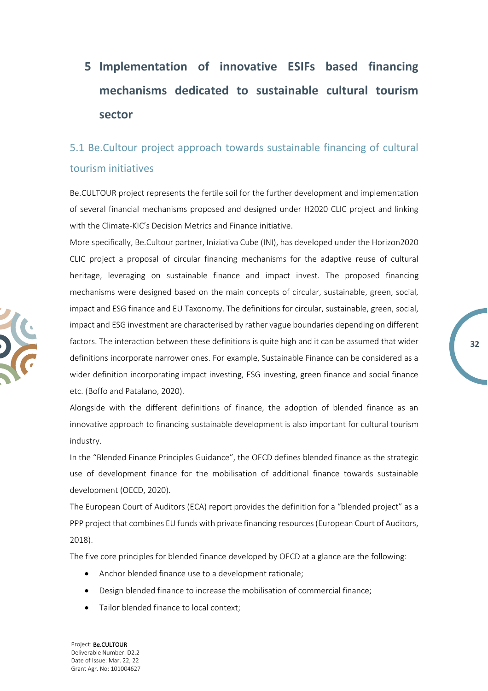# <span id="page-31-0"></span>**5 Implementation of innovative ESIFs based financing mechanisms dedicated to sustainable cultural tourism sector**

## <span id="page-31-1"></span>5.1 Be.Cultour project approach towards sustainable financing of cultural tourism initiatives

Be.CULTOUR project represents the fertile soil for the further development and implementation of several financial mechanisms proposed and designed under H2020 CLIC project and linking with the Climate-KIC's Decision Metrics and Finance initiative.

More specifically, Be.Cultour partner, Iniziativa Cube (INI), has developed under the Horizon2020 CLIC project a proposal of circular financing mechanisms for the adaptive reuse of cultural heritage, leveraging on sustainable finance and impact invest. The proposed financing mechanisms were designed based on the main concepts of circular, sustainable, green, social, impact and ESG finance and EU Taxonomy. The definitions for circular, sustainable, green, social, impact and ESG investment are characterised by rather vague boundaries depending on different factors. The interaction between these definitions is quite high and it can be assumed that wider definitions incorporate narrower ones. For example, Sustainable Finance can be considered as a wider definition incorporating impact investing, ESG investing, green finance and social finance etc. (Boffo and Patalano, 2020).

**32**

Alongside with the different definitions of finance, the adoption of blended finance as an innovative approach to financing sustainable development is also important for cultural tourism industry.

In the "Blended Finance Principles Guidance", the OECD defines blended finance as the strategic use of development finance for the mobilisation of additional finance towards sustainable development (OECD, 2020).

The European Court of Auditors (ECA) report provides the definition for a "blended project" as a PPP project that combines EU funds with private financing resources (European Court of Auditors, 2018).

The five core principles for blended finance developed by OECD at a glance are the following:

- Anchor blended finance use to a development rationale;
- Design blended finance to increase the mobilisation of commercial finance;
- Tailor blended finance to local context;

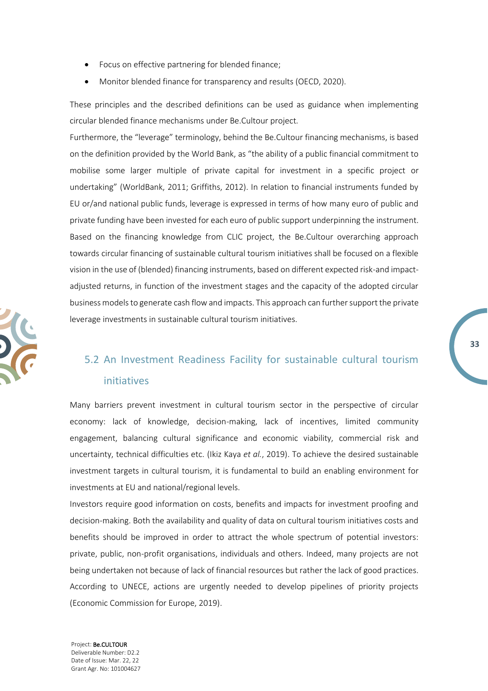- Focus on effective partnering for blended finance;
- Monitor blended finance for transparency and results (OECD, 2020).

These principles and the described definitions can be used as guidance when implementing circular blended finance mechanisms under Be.Cultour project.

Furthermore, the "leverage" terminology, behind the Be.Cultour financing mechanisms, is based on the definition provided by the World Bank, as "the ability of a public financial commitment to mobilise some larger multiple of private capital for investment in a specific project or undertaking" (WorldBank, 2011; Griffiths, 2012). In relation to financial instruments funded by EU or/and national public funds, leverage is expressed in terms of how many euro of public and private funding have been invested for each euro of public support underpinning the instrument. Based on the financing knowledge from CLIC project, the Be.Cultour overarching approach towards circular financing of sustainable cultural tourism initiatives shall be focused on a flexible vision in the use of (blended) financing instruments, based on different expected risk-and impactadjusted returns, in function of the investment stages and the capacity of the adopted circular business models to generate cash flow and impacts. This approach can further support the private leverage investments in sustainable cultural tourism initiatives.

### <span id="page-32-0"></span>5.2 An Investment Readiness Facility for sustainable cultural tourism initiatives

**33**

Many barriers prevent investment in cultural tourism sector in the perspective of circular economy: lack of knowledge, decision-making, lack of incentives, limited community engagement, balancing cultural significance and economic viability, commercial risk and uncertainty, technical difficulties etc. (Ikiz Kaya *et al.*, 2019). To achieve the desired sustainable investment targets in cultural tourism, it is fundamental to build an enabling environment for investments at EU and national/regional levels.

Investors require good information on costs, benefits and impacts for investment proofing and decision-making. Both the availability and quality of data on cultural tourism initiatives costs and benefits should be improved in order to attract the whole spectrum of potential investors: private, public, non-profit organisations, individuals and others. Indeed, many projects are not being undertaken not because of lack of financial resources but rather the lack of good practices. According to UNECE, actions are urgently needed to develop pipelines of priority projects (Economic Commission for Europe, 2019).

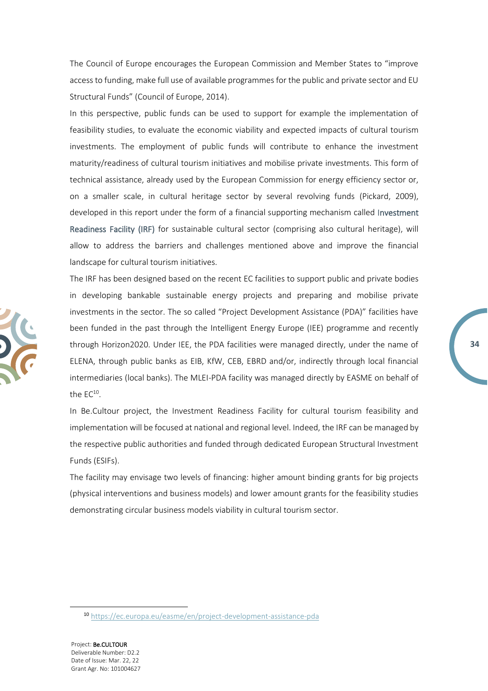The Council of Europe encourages the European Commission and Member States to "improve access to funding, make full use of available programmes for the public and private sector and EU Structural Funds" (Council of Europe, 2014).

In this perspective, public funds can be used to support for example the implementation of feasibility studies, to evaluate the economic viability and expected impacts of cultural tourism investments. The employment of public funds will contribute to enhance the investment maturity/readiness of cultural tourism initiatives and mobilise private investments. This form of technical assistance, already used by the European Commission for energy efficiency sector or, on a smaller scale, in cultural heritage sector by several revolving funds (Pickard, 2009), developed in this report under the form of a financial supporting mechanism called Investment Readiness Facility (IRF) for sustainable cultural sector (comprising also cultural heritage), will allow to address the barriers and challenges mentioned above and improve the financial landscape for cultural tourism initiatives.

The IRF has been designed based on the recent EC facilities to support public and private bodies in developing bankable sustainable energy projects and preparing and mobilise private investments in the sector. The so called "Project Development Assistance (PDA)" facilities have been funded in the past through the Intelligent Energy Europe (IEE) programme and recently through Horizon2020. Under IEE, the PDA facilities were managed directly, under the name of ELENA, through public banks as EIB, KfW, CEB, EBRD and/or, indirectly through local financial intermediaries (local banks). The MLEI-PDA facility was managed directly by EASME on behalf of the  $EC^{10}$ .

In Be.Cultour project, the Investment Readiness Facility for cultural tourism feasibility and implementation will be focused at national and regional level. Indeed, the IRF can be managed by the respective public authorities and funded through dedicated European Structural Investment Funds (ESIFs).

The facility may envisage two levels of financing: higher amount binding grants for big projects (physical interventions and business models) and lower amount grants for the feasibility studies demonstrating circular business models viability in cultural tourism sector.



<sup>10</sup> <https://ec.europa.eu/easme/en/project-development-assistance-pda>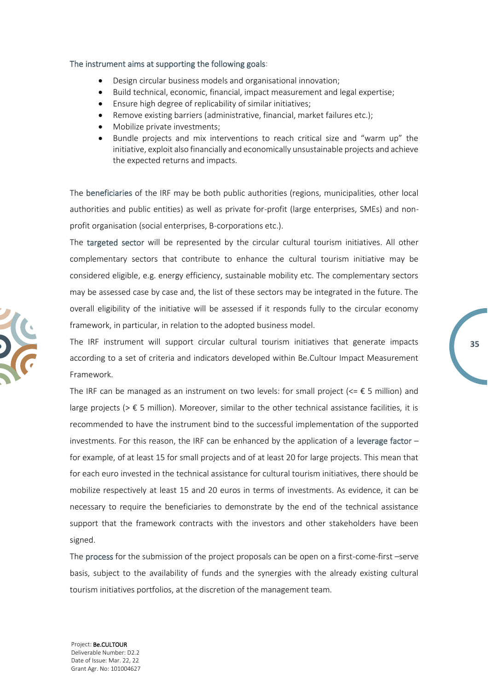#### The instrument aims at supporting the following goals:

- Design circular business models and organisational innovation;
- Build technical, economic, financial, impact measurement and legal expertise;
- Ensure high degree of replicability of similar initiatives;
- Remove existing barriers (administrative, financial, market failures etc.);
- Mobilize private investments;
- Bundle projects and mix interventions to reach critical size and "warm up" the initiative, exploit also financially and economically unsustainable projects and achieve the expected returns and impacts.

The beneficiaries of the IRF may be both public authorities (regions, municipalities, other local authorities and public entities) as well as private for-profit (large enterprises, SMEs) and nonprofit organisation (social enterprises, B-corporations etc.).

The targeted sector will be represented by the circular cultural tourism initiatives. All other complementary sectors that contribute to enhance the cultural tourism initiative may be considered eligible, e.g. energy efficiency, sustainable mobility etc. The complementary sectors may be assessed case by case and, the list of these sectors may be integrated in the future. The overall eligibility of the initiative will be assessed if it responds fully to the circular economy framework, in particular, in relation to the adopted business model.

The IRF instrument will support circular cultural tourism initiatives that generate impacts according to a set of criteria and indicators developed within Be.Cultour Impact Measurement Framework.

**35**

The IRF can be managed as an instrument on two levels: for small project ( $\epsilon = \epsilon$  5 million) and large projects ( $> \epsilon$  5 million). Moreover, similar to the other technical assistance facilities, it is recommended to have the instrument bind to the successful implementation of the supported investments. For this reason, the IRF can be enhanced by the application of a leverage factor  $$ for example, of at least 15 for small projects and of at least 20 for large projects. This mean that for each euro invested in the technical assistance for cultural tourism initiatives, there should be mobilize respectively at least 15 and 20 euros in terms of investments. As evidence, it can be necessary to require the beneficiaries to demonstrate by the end of the technical assistance support that the framework contracts with the investors and other stakeholders have been signed.

The process for the submission of the project proposals can be open on a first-come-first –serve basis, subject to the availability of funds and the synergies with the already existing cultural tourism initiatives portfolios, at the discretion of the management team.

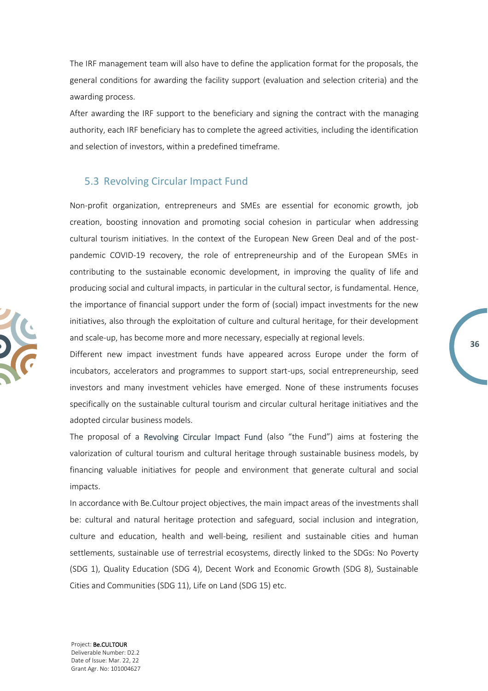The IRF management team will also have to define the application format for the proposals, the general conditions for awarding the facility support (evaluation and selection criteria) and the awarding process.

After awarding the IRF support to the beneficiary and signing the contract with the managing authority, each IRF beneficiary has to complete the agreed activities, including the identification and selection of investors, within a predefined timeframe.

#### <span id="page-35-0"></span>5.3 Revolving Circular Impact Fund

Non-profit organization, entrepreneurs and SMEs are essential for economic growth, job creation, boosting innovation and promoting social cohesion in particular when addressing cultural tourism initiatives. In the context of the European New Green Deal and of the postpandemic COVID-19 recovery, the role of entrepreneurship and of the European SMEs in contributing to the sustainable economic development, in improving the quality of life and producing social and cultural impacts, in particular in the cultural sector, is fundamental. Hence, the importance of financial support under the form of (social) impact investments for the new initiatives, also through the exploitation of culture and cultural heritage, for their development and scale-up, has become more and more necessary, especially at regional levels.

Different new impact investment funds have appeared across Europe under the form of incubators, accelerators and programmes to support start-ups, social entrepreneurship, seed investors and many investment vehicles have emerged. None of these instruments focuses specifically on the sustainable cultural tourism and circular cultural heritage initiatives and the adopted circular business models.

**36**

The proposal of a Revolving Circular Impact Fund (also "the Fund") aims at fostering the valorization of cultural tourism and cultural heritage through sustainable business models, by financing valuable initiatives for people and environment that generate cultural and social impacts.

In accordance with Be.Cultour project objectives, the main impact areas of the investments shall be: cultural and natural heritage protection and safeguard, social inclusion and integration, culture and education, health and well-being, resilient and sustainable cities and human settlements, sustainable use of terrestrial ecosystems, directly linked to the SDGs: No Poverty (SDG 1), Quality Education (SDG 4), Decent Work and Economic Growth (SDG 8), Sustainable Cities and Communities (SDG 11), Life on Land (SDG 15) etc.

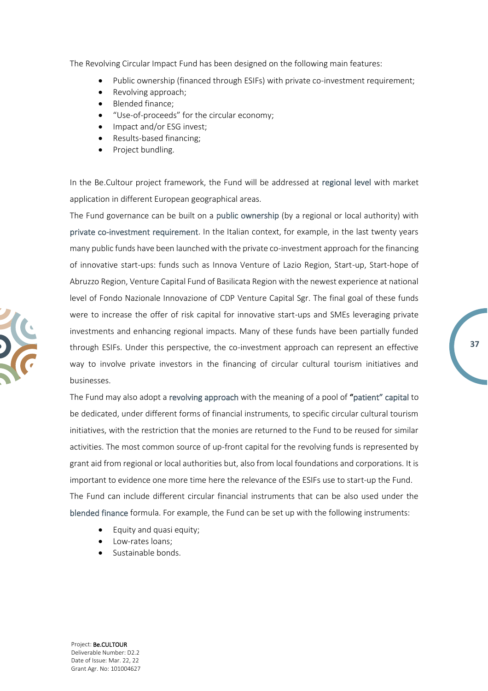The Revolving Circular Impact Fund has been designed on the following main features:

- Public ownership (financed through ESIFs) with private co-investment requirement;
- Revolving approach;
- Blended finance;
- "Use-of-proceeds" for the circular economy;
- Impact and/or ESG invest;
- Results-based financing;
- Project bundling.

In the Be.Cultour project framework, the Fund will be addressed at regional level with market application in different European geographical areas.

The Fund governance can be built on a public ownership (by a regional or local authority) with private co-investment requirement. In the Italian context, for example, in the last twenty years many public funds have been launched with the private co-investment approach for the financing of innovative start-ups: funds such as Innova Venture of Lazio Region, Start-up, Start-hope of Abruzzo Region, Venture Capital Fund of Basilicata Region with the newest experience at national level of Fondo Nazionale Innovazione of CDP Venture Capital Sgr. The final goal of these funds were to increase the offer of risk capital for innovative start-ups and SMEs leveraging private investments and enhancing regional impacts. Many of these funds have been partially funded through ESIFs. Under this perspective, the co-investment approach can represent an effective way to involve private investors in the financing of circular cultural tourism initiatives and businesses.

**37**

The Fund may also adopt a revolving approach with the meaning of a pool of "patient" capital to be dedicated, under different forms of financial instruments, to specific circular cultural tourism initiatives, with the restriction that the monies are returned to the Fund to be reused for similar activities. The most common source of up-front capital for the revolving funds is represented by grant aid from regional or local authorities but, also from local foundations and corporations. It is important to evidence one more time here the relevance of the ESIFs use to start-up the Fund. The Fund can include different circular financial instruments that can be also used under the blended finance formula. For example, the Fund can be set up with the following instruments:

- Equity and quasi equity;
- Low-rates loans;
- Sustainable bonds.

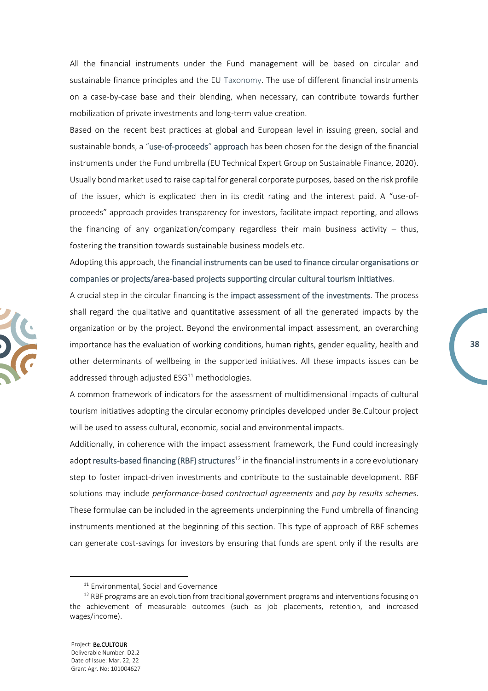All the financial instruments under the Fund management will be based on circular and sustainable finance principles and the EU Taxonomy. The use of different financial instruments on a case-by-case base and their blending, when necessary, can contribute towards further mobilization of private investments and long-term value creation.

Based on the recent best practices at global and European level in issuing green, social and sustainable bonds, a "use-of-proceeds" approach has been chosen for the design of the financial instruments under the Fund umbrella (EU Technical Expert Group on Sustainable Finance, 2020). Usually bond market used to raise capital for general corporate purposes, based on the risk profile of the issuer, which is explicated then in its credit rating and the interest paid. A "use-ofproceeds" approach provides transparency for investors, facilitate impact reporting, and allows the financing of any organization/company regardless their main business activity  $-$  thus, fostering the transition towards sustainable business models etc.

Adopting this approach, the financial instruments can be used to finance circular organisations or companies or projects/area-based projects supporting circular cultural tourism initiatives.

A crucial step in the circular financing is the impact assessment of the investments. The process shall regard the qualitative and quantitative assessment of all the generated impacts by the organization or by the project. Beyond the environmental impact assessment, an overarching importance has the evaluation of working conditions, human rights, gender equality, health and other determinants of wellbeing in the supported initiatives. All these impacts issues can be addressed through adjusted  $ESG<sup>11</sup>$  methodologies.

**38**

A common framework of indicators for the assessment of multidimensional impacts of cultural tourism initiatives adopting the circular economy principles developed under Be.Cultour project will be used to assess cultural, economic, social and environmental impacts.

Additionally, in coherence with the impact assessment framework, the Fund could increasingly adopt results-based financing (RBF) structures<sup>12</sup> in the financial instruments in a core evolutionary step to foster impact-driven investments and contribute to the sustainable development. RBF solutions may include *performance-based contractual agreements* and *pay by results schemes*. These formulae can be included in the agreements underpinning the Fund umbrella of financing instruments mentioned at the beginning of this section. This type of approach of RBF schemes can generate cost-savings for investors by ensuring that funds are spent only if the results are



<sup>11</sup> Environmental, Social and Governance

 $12$  RBF programs are an evolution from traditional government programs and interventions focusing on the achievement of measurable outcomes (such as job placements, retention, and increased wages/income).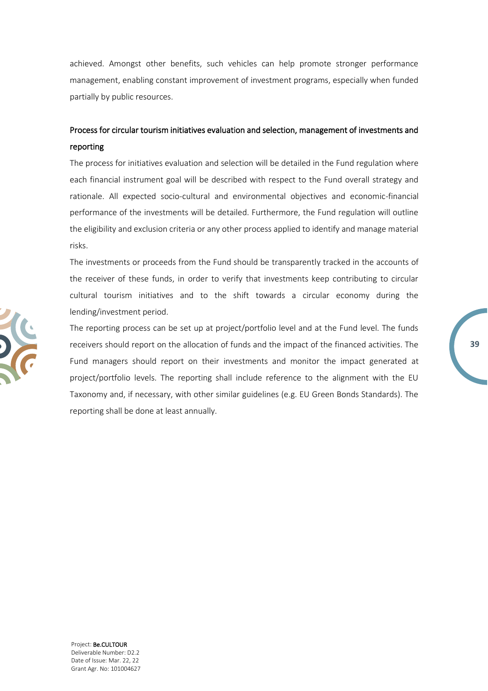achieved. Amongst other benefits, such vehicles can help promote stronger performance management, enabling constant improvement of investment programs, especially when funded partially by public resources.

### Process for circular tourism initiatives evaluation and selection, management of investments and reporting

The process for initiatives evaluation and selection will be detailed in the Fund regulation where each financial instrument goal will be described with respect to the Fund overall strategy and rationale. All expected socio-cultural and environmental objectives and economic-financial performance of the investments will be detailed. Furthermore, the Fund regulation will outline the eligibility and exclusion criteria or any other process applied to identify and manage material risks.

The investments or proceeds from the Fund should be transparently tracked in the accounts of the receiver of these funds, in order to verify that investments keep contributing to circular cultural tourism initiatives and to the shift towards a circular economy during the lending/investment period.

The reporting process can be set up at project/portfolio level and at the Fund level. The funds receivers should report on the allocation of funds and the impact of the financed activities. The Fund managers should report on their investments and monitor the impact generated at project/portfolio levels. The reporting shall include reference to the alignment with the EU Taxonomy and, if necessary, with other similar guidelines (e.g. EU Green Bonds Standards). The reporting shall be done at least annually.

**39**

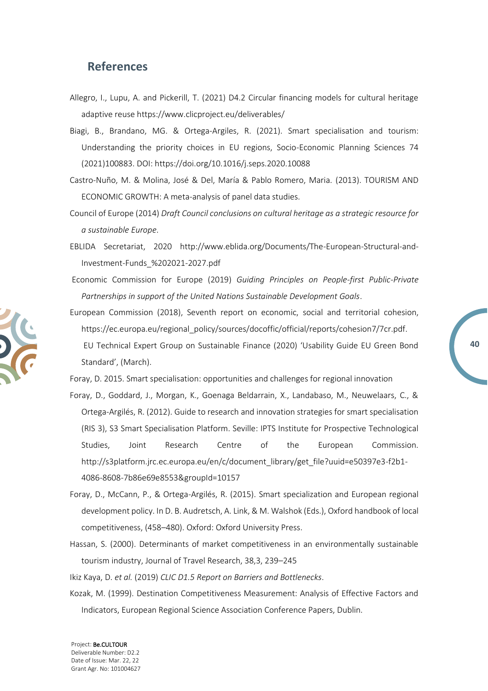### <span id="page-39-0"></span>**References**

- Allegro, I., Lupu, A. and Pickerill, T. (2021) D4.2 Circular financing models for cultural heritage adaptive reuse https://www.clicproject.eu/deliverables/
- Biagi, B., Brandano, MG. & Ortega-Argiles, R. (2021). Smart specialisation and tourism: Understanding the priority choices in EU regions, Socio-Economic Planning Sciences 74 (2021)100883. DOI: https://doi.org/10.1016/j.seps.2020.10088
- Castro-Nuño, M. & Molina, José & Del, María & Pablo Romero, Maria. (2013). TOURISM AND ECONOMIC GROWTH: A meta-analysis of panel data studies.
- Council of Europe (2014) *Draft Council conclusions on cultural heritage as a strategic resource for a sustainable Europe*.
- EBLIDA Secretariat, 2020 http://www.eblida.org/Documents/The-European-Structural-and-Investment-Funds\_%202021-2027.pdf
- Economic Commission for Europe (2019) *Guiding Principles on People-first Public-Private Partnerships in support of the United Nations Sustainable Development Goals*.
- European Commission (2018), Seventh report on economic, social and territorial cohesion, https://ec.europa.eu/regional\_policy/sources/docoffic/official/reports/cohesion7/7cr.pdf. EU Technical Expert Group on Sustainable Finance (2020) 'Usability Guide EU Green Bond Standard', (March).

**40**

- Foray, D. 2015. Smart specialisation: opportunities and challenges for regional innovation
- Foray, D., Goddard, J., Morgan, K., Goenaga Beldarrain, X., Landabaso, M., Neuwelaars, C., & Ortega-Argilés, R. (2012). Guide to research and innovation strategies for smart specialisation (RIS 3), S3 Smart Specialisation Platform. Seville: IPTS Institute for Prospective Technological Studies, Joint Research Centre of the European Commission. http://s3platform.jrc.ec.europa.eu/en/c/document\_library/get\_file?uuid=e50397e3-f2b1- 4086-8608-7b86e69e8553&groupId=10157
- Foray, D., McCann, P., & Ortega-Argilés, R. (2015). Smart specialization and European regional development policy. In D. B. Audretsch, A. Link, & M. Walshok (Eds.), Oxford handbook of local competitiveness, (458–480). Oxford: Oxford University Press.
- Hassan, S. (2000). Determinants of market competitiveness in an environmentally sustainable tourism industry, Journal of Travel Research, 38,3, 239–245
- Ikiz Kaya, D. *et al.* (2019) *CLIC D1.5 Report on Barriers and Bottlenecks*.
- Kozak, M. (1999). Destination Competitiveness Measurement: Analysis of Effective Factors and Indicators, European Regional Science Association Conference Papers, Dublin.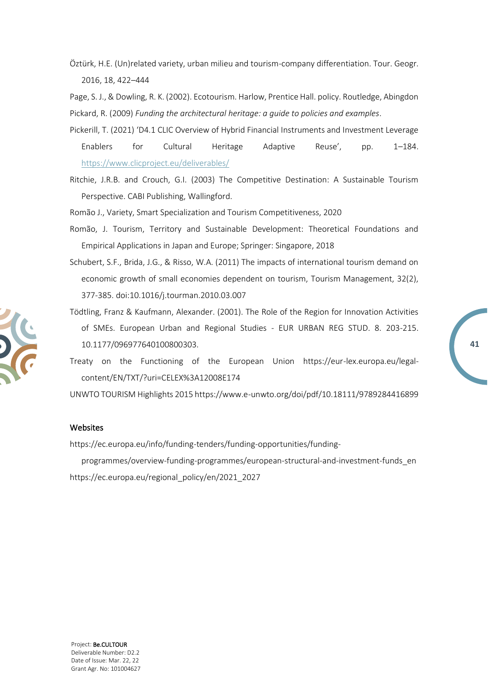Öztürk, H.E. (Un)related variety, urban milieu and tourism-company differentiation. Tour. Geogr. 2016, 18, 422–444

Page, S. J., & Dowling, R. K. (2002). Ecotourism. Harlow, Prentice Hall. policy. Routledge, Abingdon Pickard, R. (2009) *Funding the architectural heritage: a guide to policies and examples*.

- Pickerill, T. (2021) 'D4.1 CLIC Overview of Hybrid Financial Instruments and Investment Leverage Enablers for Cultural Heritage Adaptive Reuse', pp. 1–184. <https://www.clicproject.eu/deliverables/>
- Ritchie, J.R.B. and Crouch, G.I. (2003) The Competitive Destination: A Sustainable Tourism Perspective. CABI Publishing, Wallingford.
- Romão J., Variety, Smart Specialization and Tourism Competitiveness, 2020
- Romão, J. Tourism, Territory and Sustainable Development: Theoretical Foundations and Empirical Applications in Japan and Europe; Springer: Singapore, 2018
- Schubert, S.F., Brida, J.G., & Risso, W.A. (2011) The impacts of international tourism demand on economic growth of small economies dependent on tourism, Tourism Management, 32(2), 377-385. doi:10.1016/j.tourman.2010.03.007
- Tödtling, Franz & Kaufmann, Alexander. (2001). The Role of the Region for Innovation Activities of SMEs. European Urban and Regional Studies - EUR URBAN REG STUD. 8. 203-215. 10.1177/096977640100800303.
- Treaty on the Functioning of the European Union https://eur-lex.europa.eu/legalcontent/EN/TXT/?uri=CELEX%3A12008E174

UNWTO TOURISM Highlights 2015 https://www.e-unwto.org/doi/pdf/10.18111/9789284416899

#### Websites

https://ec.europa.eu/info/funding-tenders/funding-opportunities/funding-

programmes/overview-funding-programmes/european-structural-and-investment-funds\_en https://ec.europa.eu/regional\_policy/en/2021\_2027

Project: Be.CULTOUR Deliverable Number: D2.2 Date of Issue: Mar. 22, 22 Grant Agr. No: 101004627